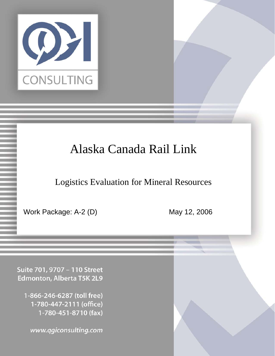

# Alaska Canada Rail Link

Logistics Evaluation for Mineral Resources

Confidential Page 1 5/12/2006

Work Package: A-2 (D) May 12, 2006

Suite 701, 9707 - 110 Street Edmonton, Alberta T5K 2L9

1-866-246-6287 (toll free) 1-780-447-2111 (office) 1-780-451-8710 (fax)

www.qgiconsulting.com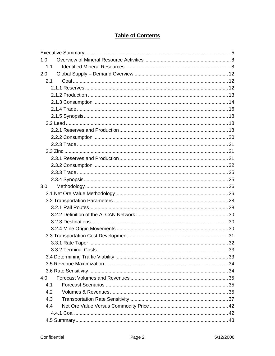# **Table of Contents**

| 1.0                  |    |
|----------------------|----|
| 1.1                  |    |
| 2.0                  |    |
| 2.1                  |    |
|                      |    |
|                      |    |
|                      |    |
|                      |    |
|                      |    |
|                      |    |
|                      |    |
|                      |    |
|                      |    |
|                      |    |
|                      |    |
|                      |    |
|                      |    |
|                      |    |
| 3.0                  |    |
|                      |    |
|                      |    |
|                      |    |
|                      |    |
|                      |    |
|                      |    |
|                      |    |
|                      |    |
| 3.3.2 Terminal Costs | 33 |
|                      |    |
|                      |    |
|                      |    |
| 4.0                  |    |
| 4.1                  |    |
| 4.2                  |    |
| 4.3                  |    |
| 4.4                  |    |
|                      |    |
|                      |    |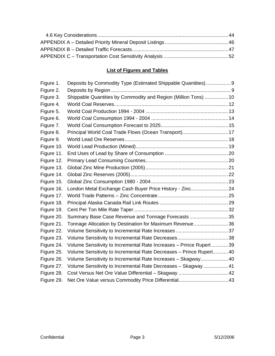# **List of Figures and Tables**

| Figure 1.  | Deposits by Commodity Type (Estimated Shippable Quantities) 9        |  |
|------------|----------------------------------------------------------------------|--|
| Figure 2.  |                                                                      |  |
| Figure 3.  | Shippable Quantities by Commodity and Region (Million Tons)  10      |  |
| Figure 4.  |                                                                      |  |
| Figure 5.  |                                                                      |  |
| Figure 6.  |                                                                      |  |
| Figure 7.  |                                                                      |  |
| Figure 8.  | Principal World Coal Trade Flows (Ocean Transport) 17                |  |
| Figure 9.  |                                                                      |  |
| Figure 10. |                                                                      |  |
| Figure 11. |                                                                      |  |
| Figure 12. |                                                                      |  |
| Figure 13. |                                                                      |  |
| Figure 14. |                                                                      |  |
| Figure 15. |                                                                      |  |
| Figure 16. | London Metal Exchange Cash Buyer Price History - Zinc 24             |  |
| Figure 17. |                                                                      |  |
| Figure 18. |                                                                      |  |
| Figure 19. |                                                                      |  |
| Figure 20. | Summary Base Case Revenue and Tonnage Forecasts 35                   |  |
| Figure 21. | Tonnage Allocation by Destination for Maximum Revenue36              |  |
| Figure 22. |                                                                      |  |
| Figure 23. |                                                                      |  |
| Figure 24. | Volume Sensitivity to Incremental Rate Increases - Prince Rupert  39 |  |
| Figure 25. | Volume Sensitivity to Incremental Rate Decreases - Prince Rupert 40  |  |
| Figure 26. | Volume Sensitivity to Incremental Rate Increases - Skagway 40        |  |
| Figure 27. | Volume Sensitivity to Incremental Rate Decreases - Skagway 41        |  |
| Figure 28. |                                                                      |  |
| Figure 29. |                                                                      |  |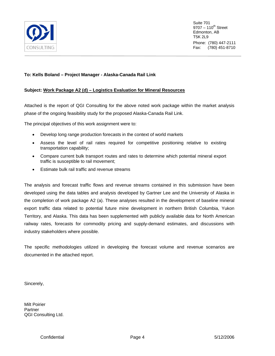

Suite 701  $9707 - 110^{th}$  Street Edmonton, AB T5K 2L9 Phone: (780) 447-2111 Fax: (780) 451-8710

# **To: Kells Boland – Project Manager - Alaska-Canada Rail Link**

## **Subject: Work Package A2 (d) – Logistics Evaluation for Mineral Resources**

Attached is the report of QGI Consulting for the above noted work package within the market analysis phase of the ongoing feasibility study for the proposed Alaska-Canada Rail Link.

The principal objectives of this work assignment were to:

- Develop long range production forecasts in the context of world markets
- Assess the level of rail rates required for competitive positioning relative to existing transportation capability;
- Compare current bulk transport routes and rates to determine which potential mineral export traffic is susceptible to rail movement;
- Estimate bulk rail traffic and revenue streams

The analysis and forecast traffic flows and revenue streams contained in this submission have been developed using the data tables and analysis developed by Gartner Lee and the University of Alaska in the completion of work package A2 (a). These analyses resulted in the development of baseline mineral export traffic data related to potential future mine development in northern British Columbia, Yukon Territory, and Alaska. This data has been supplemented with publicly available data for North American railway rates, forecasts for commodity pricing and supply-demand estimates, and discussions with industry stakeholders where possible.

The specific methodologies utilized in developing the forecast volume and revenue scenarios are documented in the attached report.

Sincerely,

Milt Poirier **Partner** QGI Consulting Ltd.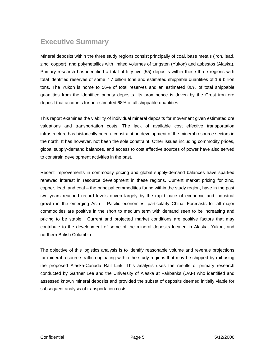# <span id="page-4-0"></span>**Executive Summary**

Mineral deposits within the three study regions consist principally of coal, base metals (iron, lead, zinc, copper), and polymetallics with limited volumes of tungsten (Yukon) and asbestos (Alaska). Primary research has identified a total of fifty-five (55) deposits within these three regions with total identified reserves of some 7.7 billion tons and estimated shippable quantities of 1.9 billion tons. The Yukon is home to 56% of total reserves and an estimated 80% of total shippable quantities from the identified priority deposits. Its prominence is driven by the Crest iron ore deposit that accounts for an estimated 68% of all shippable quantities.

This report examines the viability of individual mineral deposits for movement given estimated ore valuations and transportation costs. The lack of available cost effective transportation infrastructure has historically been a constraint on development of the mineral resource sectors in the north. It has however, not been the sole constraint. Other issues including commodity prices, global supply-demand balances, and access to cost effective sources of power have also served to constrain development activities in the past.

Recent improvements in commodity pricing and global supply-demand balances have sparked renewed interest in resource development in these regions. Current market pricing for zinc, copper, lead, and coal – the principal commodities found within the study region, have in the past two years reached record levels driven largely by the rapid pace of economic and industrial growth in the emerging Asia – Pacific economies, particularly China. Forecasts for all major commodities are positive in the short to medium term with demand seen to be increasing and pricing to be stable. Current and projected market conditions are positive factors that may contribute to the development of some of the mineral deposits located in Alaska, Yukon, and northern British Columbia.

The objective of this logistics analysis is to identify reasonable volume and revenue projections for mineral resource traffic originating within the study regions that may be shipped by rail using the proposed Alaska-Canada Rail Link. This analysis uses the results of primary research conducted by Gartner Lee and the University of Alaska at Fairbanks (UAF) who identified and assessed known mineral deposits and provided the subset of deposits deemed initially viable for subsequent analysis of transportation costs.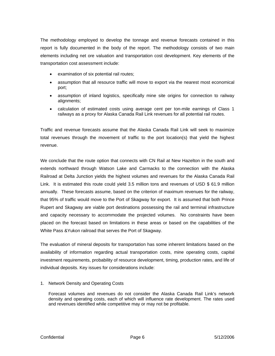The methodology employed to develop the tonnage and revenue forecasts contained in this report is fully documented in the body of the report. The methodology consists of two main elements including net ore valuation and transportation cost development. Key elements of the transportation cost assessment include:

- examination of six potential rail routes;
- assumption that all resource traffic will move to export via the nearest most economical port;
- assumption of inland logistics, specifically mine site origins for connection to railway alignments;
- calculation of estimated costs using average cent per ton-mile earnings of Class 1 railways as a proxy for Alaska Canada Rail Link revenues for all potential rail routes.

Traffic and revenue forecasts assume that the Alaska Canada Rail Link will seek to maximize total revenues through the movement of traffic to the port location(s) that yield the highest revenue.

We conclude that the route option that connects with CN Rail at New Hazelton in the south and extends northward through Watson Lake and Carmacks to the connection with the Alaska Railroad at Delta Junction yields the highest volumes and revenues for the Alaska Canada Rail Link. It is estimated this route could yield 3.5 million tons and revenues of USD \$ 61.9 million annually. These forecasts assume, based on the criterion of maximum revenues for the railway, that 95% of traffic would move to the Port of Skagway for export. It is assumed that both Prince Rupert and Skagway are viable port destinations possessing the rail and terminal infrastructure and capacity necessary to accommodate the projected volumes. No constraints have been placed on the forecast based on limitations in these areas or based on the capabilities of the White Pass &Yukon railroad that serves the Port of Skagway.

The evaluation of mineral deposits for transportation has some inherent limitations based on the availability of information regarding actual transportation costs, mine operating costs, capital investment requirements, probability of resource development, timing, production rates, and life of individual deposits. Key issues for considerations include:

1. Network Density and Operating Costs

Forecast volumes and revenues do not consider the Alaska Canada Rail Link's network density and operating costs, each of which will influence rate development. The rates used and revenues identified while competitive may or may not be profitable.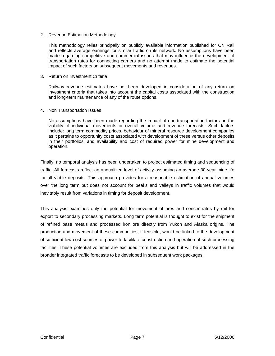#### 2. Revenue Estimation Methodology

This methodology relies principally on publicly available information published for CN Rail and reflects average earnings for similar traffic on its network. No assumptions have been made regarding competitive and commercial issues that may influence the development of transportation rates for connecting carriers and no attempt made to estimate the potential impact of such factors on subsequent movements and revenues.

#### 3. Return on Investment Criteria

Railway revenue estimates have not been developed in consideration of any return on investment criteria that takes into account the capital costs associated with the construction and long-term maintenance of any of the route options.

#### 4. Non Transportation Issues

No assumptions have been made regarding the impact of non-transportation factors on the viability of individual movements or overall volume and revenue forecasts. Such factors include: long term commodity prices, behaviour of mineral resource development companies as it pertains to opportunity costs associated with development of these versus other deposits in their portfolios, and availability and cost of required power for mine development and operation.

Finally, no temporal analysis has been undertaken to project estimated timing and sequencing of traffic. All forecasts reflect an annualized level of activity assuming an average 30-year mine life for all viable deposits. This approach provides for a reasonable estimation of annual volumes over the long term but does not account for peaks and valleys in traffic volumes that would inevitably result from variations in timing for deposit development.

This analysis examines only the potential for movement of ores and concentrates by rail for export to secondary processing markets. Long term potential is thought to exist for the shipment of refined base metals and processed iron ore directly from Yukon and Alaska origins. The production and movement of these commodities, if feasible, would be linked to the development of sufficient low cost sources of power to facilitate construction and operation of such processing facilities. These potential volumes are excluded from this analysis but will be addressed in the broader integrated traffic forecasts to be developed in subsequent work packages.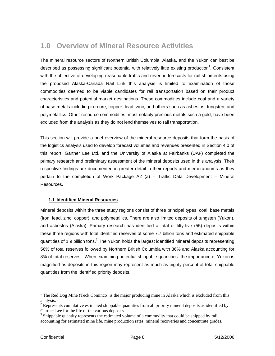# <span id="page-7-0"></span>**1.0 Overview of Mineral Resource Activities**

The mineral resource sectors of Northern British Columbia, Alaska, and the Yukon can best be described as possessing significant potential with relatively little existing production<sup>[1](#page-7-1)</sup>. Consistent with the objective of developing reasonable traffic and revenue forecasts for rail shipments using the proposed Alaska-Canada Rail Link this analysis is limited to examination of those commodities deemed to be viable candidates for rail transportation based on their product characteristics and potential market destinations. These commodities include coal and a variety of base metals including iron ore, copper, lead, zinc, and others such as asbestos, tungsten, and polymetallics. Other resource commodities, most notably precious metals such a gold, have been excluded from the analysis as they do not lend themselves to rail transportation.

This section will provide a brief overview of the mineral resource deposits that form the basis of the logistics analysis used to develop forecast volumes and revenues presented in Section 4.0 of this report. Gartner Lee Ltd. and the University of Alaska at Fairbanks (UAF) completed the primary research and preliminary assessment of the mineral deposits used in this analysis. Their respective findings are documented in greater detail in their reports and memorandums as they pertain to the completion of Work Package A2 (a) – Traffic Data Development – Mineral Resources.

## **1.1 Identified Mineral Resources**

Mineral deposits within the three study regions consist of three principal types: coal, base metals (iron, lead, zinc, copper), and polymetallics. There are also limited deposits of tungsten (Yukon), and asbestos (Alaska). Primary research has identified a total of fifty-five (55) deposits within these three regions with total identified reserves of some 7.7 billion tons and estimated shippable quantities of 1.9 billion tons.<sup>[2](#page-7-2)</sup> The Yukon holds the largest identified mineral deposits representing 56% of total reserves followed by Northern British Columbia with 36% and Alaska accounting for 8% of total reserves. When examining potential shippable quantities<sup>[3](#page-7-3)</sup> the importance of Yukon is magnified as deposits in this region may represent as much as eighty percent of total shippable quantities from the identified priority deposits.

 $\overline{a}$ 

<span id="page-7-1"></span><sup>&</sup>lt;sup>1</sup> The Red Dog Mine (Teck Cominco) is the major producing mine in Alaska which is excluded from this analysis.

<span id="page-7-2"></span> $2^{2}$  Represents cumulative estimated shippable quantities from all priority mineral deposits as identified by Gartner Lee for the life of the various deposits.

<span id="page-7-3"></span><sup>&</sup>lt;sup>3</sup> Shippable quantity represents the estimated volume of a commodity that could be shipped by rail accounting for estimated mine life, mine production rates, mineral recoveries and concentrate grades.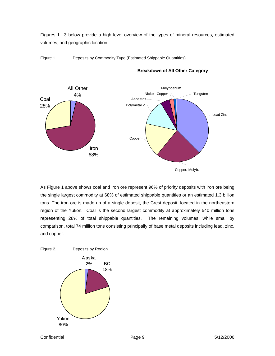<span id="page-8-0"></span>Figures 1 –3 below provide a high level overview of the types of mineral resources, estimated volumes, and geographic location.





**Breakdown of All Other Category**

As Figure 1 above shows coal and iron ore represent 96% of priority deposits with iron ore being the single largest commodity at 68% of estimated shippable quantities or an estimated 1.3 billion tons. The iron ore is made up of a single deposit, the Crest deposit, located in the northeastern region of the Yukon. Coal is the second largest commodity at approximately 540 million tons representing 28% of total shippable quantities. The remaining volumes, while small by comparison, total 74 million tons consisting principally of base metal deposits including lead, zinc, and copper.

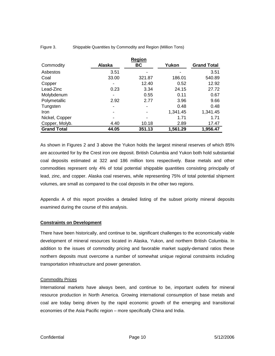|                    |               | <b>Region</b> |          |                    |
|--------------------|---------------|---------------|----------|--------------------|
| Commodity          | <b>Alaska</b> | BC            | Yukon    | <b>Grand Total</b> |
| Asbestos           | 3.51          |               |          | 3.51               |
| Coal               | 33.00         | 321.87        | 186.01   | 540.89             |
| Copper             |               | 12.40         | 0.52     | 12.92              |
| Lead-Zinc          | 0.23          | 3.34          | 24.15    | 27.72              |
| Molybdenum         |               | 0.55          | 0.11     | 0.67               |
| Polymetallic       | 2.92          | 2.77          | 3.96     | 9.66               |
| Tungsten           | ۰             |               | 0.48     | 0.48               |
| Iron               |               |               | 1,341.45 | 1,341.45           |
| Nickel, Copper     |               |               | 1.71     | 1.71               |
| Copper, Molyb.     | 4.40          | 10.18         | 2.89     | 17.47              |
| <b>Grand Total</b> | 44.05         | 351.13        | 1,561.29 | 1,956.47           |

<span id="page-9-0"></span>Figure 3. Shippable Quantities by Commodity and Region (Million Tons)

As shown in Figures 2 and 3 above the Yukon holds the largest mineral reserves of which 85% are accounted for by the Crest iron ore deposit. British Columbia and Yukon both hold substantial coal deposits estimated at 322 and 186 million tons respectively. Base metals and other commodities represent only 4% of total potential shippable quantities consisting principally of lead, zinc, and copper. Alaska coal reserves, while representing 75% of total potential shipment volumes, are small as compared to the coal deposits in the other two regions.

Appendix A of this report provides a detailed listing of the subset priority mineral deposits examined during the course of this analysis.

#### **Constraints on Development**

There have been historically, and continue to be, significant challenges to the economically viable development of mineral resources located in Alaska, Yukon, and northern British Columbia. In addition to the issues of commodity pricing and favorable market supply-demand ratios these northern deposits must overcome a number of somewhat unique regional constraints including transportation infrastructure and power generation.

#### **Commodity Prices**

resource production in North America. Growing international consumption of base metals and coal are today being driven by the rapid economic growth of the emerging and transitional economies of the Asia Pacific region – more specifically China and India. International markets have always been, and continue to be, important outlets for mineral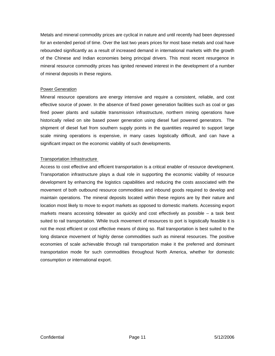Metals and mineral commodity prices are cyclical in nature and until recently had been depressed for an extended period of time. Over the last two years prices for most base metals and coal have rebounded significantly as a result of increased demand in international markets with the growth of the Chinese and Indian economies being principal drivers. This most recent resurgence in mineral resource commodity prices has ignited renewed interest in the development of a number of mineral deposits in these regions.

#### **Power Generation**

Mineral resource operations are energy intensive and require a consistent, reliable, and cost effective source of power. In the absence of fixed power generation facilities such as coal or gas fired power plants and suitable transmission infrastructure, northern mining operations have historically relied on site based power generation using diesel fuel powered generators. The shipment of diesel fuel from southern supply points in the quantities required to support large scale mining operations is expensive, in many cases logistically difficult, and can have a significant impact on the economic viability of such developments.

#### Transportation Infrastructure

Access to cost effective and efficient transportation is a critical enabler of resource development. Transportation infrastructure plays a dual role in supporting the economic viability of resource development by enhancing the logistics capabilities and reducing the costs associated with the long distance movement of highly dense commodities such as mineral resources. The positive economies of scale achievable through rail transportation make it the preferred and dominant transportation mode for such commodities throughout North America, whether for domestic movement of both outbound resource commodities and inbound goods required to develop and maintain operations. The mineral deposits located within these regions are by their nature and location most likely to move to export markets as opposed to domestic markets. Accessing export markets means accessing tidewater as quickly and cost effectively as possible – a task best suited to rail transportation. While truck movement of resources to port is logistically feasible it is not the most efficient or cost effective means of doing so. Rail transportation is best suited to the consumption or international export.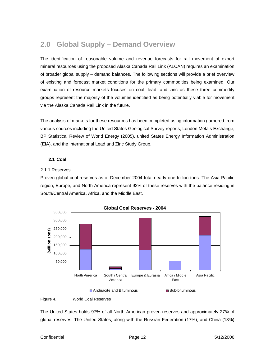# <span id="page-11-0"></span>**2.0 Global Supply – Demand Overview**

The identification of reasonable volume and revenue forecasts for rail movement of export mineral resources using the proposed Alaska Canada Rail Link (ALCAN) requires an examination of broader global supply – demand balances. The following sections will provide a brief overview of existing and forecast market conditions for the primary commodities being examined. Our examination of resource markets focuses on coal, lead, and zinc as these three commodity groups represent the majority of the volumes identified as being potentially viable for movement via the Alaska Canada Rail Link in the future.

The analysis of markets for these resources has been completed using information garnered from various sources including the United States Geological Survey reports, London Metals Exchange, BP Statistical Review of World Energy (2005), united States Energy Information Administration (EIA), and the International Lead and Zinc Study Group.

# **2.1 Coal**

#### 2.1.1 Reserves

Proven global coal reserves as of December 2004 total nearly one trillion tons. The Asia Pacific region, Europe, and North America represent 92% of these reserves with the balance residing in South/Central America, Africa, and the Middle East.



#### Figure 4. World Coal Reserves

The United States holds 97% of all North American proven reserves and approximately 27% of global reserves. The United States, along with the Russian Federation (17%), and China (13%)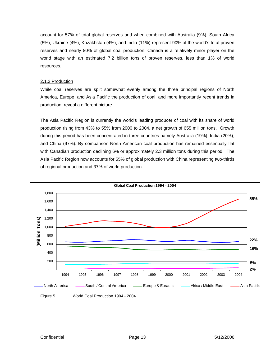<span id="page-12-0"></span>account for 57% of total global reserves and when combined with Australia (9%), South Africa (5%), Ukraine (4%), Kazakhstan (4%), and India (11%) represent 90% of the world's total proven reserves and nearly 80% of global coal production. Canada is a relatively minor player on the world stage with an estimated 7.2 billion tons of proven reserves, less than 1% of world resources.

#### 2.1.2 Production

While coal reserves are split somewhat evenly among the three principal regions of North America, Europe, and Asia Pacific the production of coal, and more importantly recent trends in production, reveal a different picture.

The Asia Pacific Region is currently the world's leading producer of coal with its share of world production rising from 43% to 55% from 2000 to 2004, a net growth of 655 million tons. Growth during this period has been concentrated in three countries namely Australia (19%), India (20%), and China (97%). By comparison North American coal production has remained essentially flat with Canadian production declining 6% or approximately 2.3 million tons during this period. The Asia Pacific Region now accounts for 55% of global production with China representing two-thirds of regional production and 37% of world production.

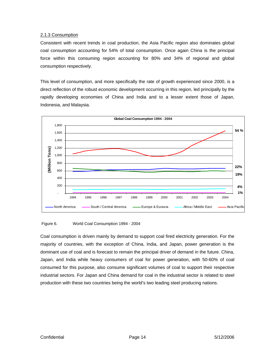## <span id="page-13-0"></span>2.1.3 Consumption

Consistent with recent trends in coal production, the Asia Pacific region also dominates global coal consumption accounting for 54% of total consumption. Once again China is the principal force within this consuming region accounting for 80% and 34% of regional and global consumption respectively.

This level of consumption, and more specifically the rate of growth experienced since 2000, is a direct reflection of the robust economic development occurring in this region, led principally by the rapidly developing economies of China and India and to a lesser extent those of Japan, Indonesia, and Malaysia.



Figure 6. World Coal Consumption 1994 - 2004

Coal consumption is driven mainly by demand to support coal fired electricity generation. For the majority of countries, with the exception of China, India, and Japan, power generation is the dominant use of coal and is forecast to remain the principal driver of demand in the future. China, Japan, and India while heavy consumers of coal for power generation, with 50-60% of coal consumed for this purpose, also consume significant volumes of coal to support their respective industrial sectors. For Japan and China demand for coal in the industrial sector is related to steel production with these two countries being the world's two leading steel producing nations.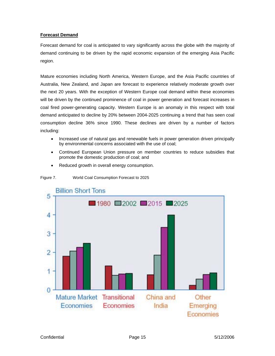# <span id="page-14-0"></span>**Forecast Demand**

Forecast demand for coal is anticipated to vary significantly across the globe with the majority of demand continuing to be driven by the rapid economic expansion of the emerging Asia Pacific region.

Mature economies including North America, Western Europe, and the Asia Pacific countries of coal fired power-generating capacity. Western Europe is an anomaly in this respect with total demand anticipated to decline by 20% between 2004-2025 continuing a trend that has seen coal consumption decline 36% since 1990. These declines are driven by a number of factors including: Australia, New Zealand, and Japan are forecast to experience relatively moderate growth over the next 20 years. With the exception of Western Europe coal demand within these economies will be driven by the continued prominence of coal in power generation and forecast increases in

- Increased use of natural gas and renewable fuels in power generation driven principally by environmental concerns associated with the use of coal;
- Continued European Union pressure on member countries to reduce subsidies that promote the domestic production of coal; and
- Reduced growth in overall energy consumption.



Figure 7. World Coal Consumption Forecast to 2025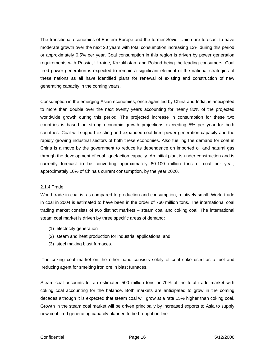<span id="page-15-0"></span>The transitional economies of Eastern Europe and the former Soviet Union are forecast to have requirements with Russia, Ukraine, Kazakhstan, and Poland being the leading consumers. Coal fired power generation is expected to remain a significant element of the national strategies of moderate growth over the next 20 years with total consumption increasing 13% during this period or approximately 0.5% per year. Coal consumption in this region is driven by power generation these nations as all have identified plans for renewal of existing and construction of new generating capacity in the coming years.

countries. Coal will support existing and expanded coal fired power generation capacity and the rapidly g rowing industrial sectors of both these economies. Also fuelling the demand for coal in China is a move by the government to reduce its dependence on imported oil and natural gas through the development of coal liquefaction capacity. An initial plant is under construction and is currently forecast to be converting approximately 80-100 million tons of coal per year, approximately 10% of China's current consumption, by the year 2020. Consumption in the emerging Asian economies, once again led by China and India, is anticipated to more than double over the next twenty years accounting for nearly 80% of the projected worldwide growth during this period. The projected increase in consumption for these two countries is based on strong economic growth projections exceeding 5% per year for both

#### 2.1.4 Trade

World trade in coal is, as compared to production and consumption, relatively small. World trade in coal in 2004 is estimated to have been in the order of 760 million tons. The international coal trading market consists of two distinct markets – steam coal and coking coal. The international steam coal market is driven by three specific areas of demand:

- (1) electricity generation
- (2) steam and heat production for industrial applications, and
- (3) steel making blast furnaces.

The coking coal market on the other hand consists solely of coal coke used as a fuel and reducing agent for smelting iron ore in blast furnaces.

Steam coal accounts for an estimated 500 million tons or 70% of the total trade market with coking coal accounting for the balance. Both markets are anticipated to grow in the coming decades although it is expected that steam coal will grow at a rate 15% higher than coking coal. Growth in the steam coal market will be driven principally by increased exports to Asia to supply new coal fired generating capacity planned to be brought on line.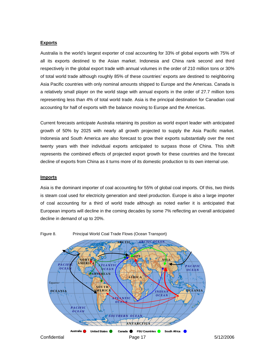#### <span id="page-16-0"></span>**Exports**

Australia is the world's largest exporter of coal accounting for 33% of global exports with 75% of all its exports destined to the Asian market. Indonesia and China rank second and third respectively in the global export trade with annual volumes in the order of 210 million tons or 30% of total world trade although roughly 85% of these countries' exports are destined to neighboring Asia Pacific countries with only nominal amounts shipped to Europe and the Americas. Canada is a relatively small player on the world stage with annual exports in the order of 27.7 million tons representing less than 4% of total world trade. Asia is the principal destination for Canadian coal accounting for half of exports with the balance moving to Europe and the Americas.

Current forecasts anticipate Australia retaining its position as world export leader with anticipated growth of 50% by 2025 with nearly all growth projected to supply the Asia Pacific market. Indonesia and South America are also forecast to grow their exports substantially over the next twenty years with their individual exports anticipated to surpass those of China. This shift represents the combined effects of projected export growth for these countries and the forecast decline of exports from China as it turns more of its domestic production to its own internal use.

#### **lmports**

Asia is the dominant importer of coal accounting for 55% of global coal imports. Of this, two thirds is steam coal used for electricity generation and steel production. Europe is also a large importer of coal accounting for a third of world trade although as noted earlier it is anticipated that European imports will decline in the coming decades by some 7% reflecting an overall anticipated decline in demand of up to 20%.



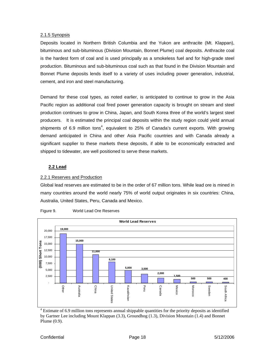#### <span id="page-17-0"></span>2.1.5 Synopsis

Deposits located in Northern British Columbia and the Yukon are anthracite (Mt. Klappan), bituminous and sub-bituminous (Division Mountain, Bonnet Plume) coal deposits. Anthracite coal is the hardest form of coal and is used principally as a smokeless fuel and for high-grade steel production. Bituminous and sub-bituminous coal such as that found in the Division Mountain and Bonnet Plume deposits lends itself to a variety of uses including power generation, industrial, cement, and iron and steel manufacturing.

Pacific region as additional coal fired power generation capacity is brought on stream and steel production continues to grow in China, Japan, and South Korea three of the world's largest steel Demand for these coal types, as noted earlier, is anticipated to continue to grow in the Asia producers. It is estimated the principal coal deposits within the study region could yield annual shipments of 6.9 million tons<sup>4</sup>, equivalent to 25% of Canada's current exports. With growing demand anticipated in China and other Asia Pacific countries and with Canada already a significant supplier to these markets these deposits, if able to be economically extracted and shipped to tidewater, are well positioned to serve these markets.

## **2.2 Lead**

## 2.2.1 Reserves and Production

Global lead reserves are estimated to be in the order of 67 million tons. While lead ore is mined in many countries around the world nearly 75% of world output originates in six countries: China, Australia, United States, Peru, Canada and Mexico.





<span id="page-17-1"></span><sup>4</sup> Estimate of 6.9 million tons represents annual shippable quantities for the priority deposits as identified by Gartner Lee including Mount Klappan (3.3), Groundhog (1.3), Division Mountain (1.4) and Bonnet Plume (0.9).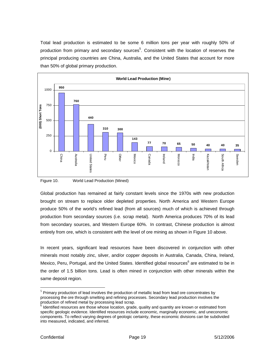<span id="page-18-0"></span>Total lead production is estimated to be some 6 million tons per year with roughly 50% of production from primary and secondary sources<sup>[5](#page-18-1)</sup>. Consistent with the location of reserves the principal producing countries are China, Australia, and the United States that account for more than 50% of global primary production.



Figure 10. World Lead Production (Mined)

Global production has remained at fairly constant levels since the 1970s with new production brought on stream to replace older depleted properties. North America and Western Europe produce 50% of the world's refined lead (from all sources) much of which is achieved through production from secondary sources (i.e. scrap metal). North America produces 70% of its lead from secondary sources, and Western Europe 60%. In contrast, Chinese production is almost entirely from ore, which is consistent with the level of ore mining as shown in Figure 10 above.

In recent years, significant lead resources have been discovered in conjunction with other minerals most notably zinc, silver, and/or copper deposits in Australia, Canada, China, Ireland, Mexico,Peru, Portugal, and the United States. Identified global resources<sup>6</sup> are estimated to be in the order of 1.5 billion tons. Lead is often mined in conjunction with other minerals within the same deposit region.

 $\overline{a}$ 

<span id="page-18-1"></span> $<sup>5</sup>$  Primary production of lead involves the production of metallic lead from lead ore concentrates by</sup> processing the ore through smelting and refining processes. Secondary lead production involves the production of refined metal by processing lead scrap.<br><sup>6</sup> Identified resources are those whose location, grade, quality and quantity are known or estimated from

<span id="page-18-2"></span>components. To reflect varying degrees of geologic certainty, these economic divisions can be subdivided into measured, indicated, and inferred. specific geologic evidence. Identified resources include economic, marginally economic, and uneconomic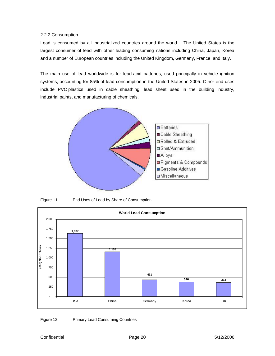#### <span id="page-19-0"></span>2.2.2 Consumption

Lead is consumed by all industrialized countries around the world. The United States is the largest consumer of lead with other leading consuming nations including China, Japan, Korea and a number of European countries including the United Kingdom, Germany, France, and Italy.

The main use of lead worldwide is for lead-acid batteries, used principally in vehicle ignition systems, accounting for 85% of lead consumption in the United States in 2005. Other end uses include PVC plastics used in cable sheathing, lead sheet used in the building industry, industrial paints, and manufacturing of chemicals.



Figure 11. End Uses of Lead by Share of Consumption



Figure 12. Primary Lead Consuming Countries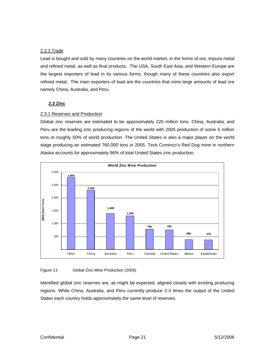## <span id="page-20-0"></span>2.2.3 Trade

Lead is bought and sold by many countries on the world market, in the forms of ore, impure metal and refined metal, as well as final products. The USA, South East Asia, and Western Europe are the largest importers of lead in its various forms, though many of these countries also export refined metal. The main exporters of lead are the countries that mine large amounts of lead ore namely China, Australia, and Peru.

## **2.3 Zinc**

#### 2.3.1 Reserves and Production

Global zinc reserves are estimated to be approximately 220 million tons. China, Australia, and Peru are the leading zinc producing regions of the world with 2005 production of some 5 million tons or roughly 50% of world production. The United States is also a major player on the world stage producing an estimated 760,000 tons in 2005. Teck Cominco's Red Dog mine in northern Alaska accounts for approximately 96% of total United States zinc production.



#### Figure 13. Global Zinc Mine Production (2005)

Identified global zinc reserves are, as might be expected, aligned closely with existing producing regions. While China, Australia, and Peru currently produce 2-3 times the output of the United States each country holds approximately the same level of reserves.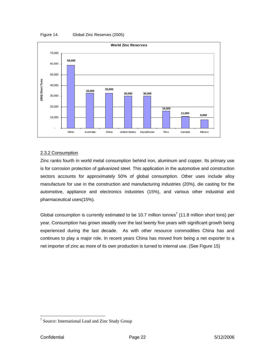<span id="page-21-0"></span>



#### 2.3.2 Consumption

Zinc ranks fourth in world metal consumption behind iron, aluminum and copper. Its primar y use is for corrosion protection of galvanized steel. This application in the automotive and construc tion sectors accounts for approximately 50% of global consumption. Other uses include a lloy manufacture for use in the construction and manufacturing industries (20%), die casting for the automotive, appliance and electronics industries (15%), and various other industrial and pharmaceutical uses(15%).

Global consumption is currently estimated to be 10.[7](#page-21-1) million tonnes<sup>7</sup> (11.8 million short tons) per year. Consumption has grown steadily over the last twenty five years with significant growth being experienced during the last decade. As with other resource commodities China has and continues to play a major role. In recent years China has moved from being a net exporter to a net importer of zinc as more of its own production is turned to internal use. (See Figure 15)

<span id="page-21-1"></span><sup>&</sup>lt;sup>7</sup> Source: International Lead and Zinc Study Group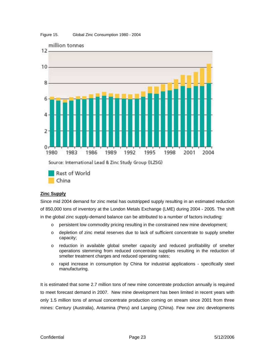#### <span id="page-22-0"></span>Figure 15. Global Zinc Consumption 1980 - 2004



## **Zinc Supply**

Since mid 2004 demand for zinc metal has outstripped supply resulting in an estimated reduction of 850,000 tons of inventory at the London Metals Exchange (LME) during 2004 - 2005. The shift in the global zinc supply-demand balance can be attributed to a number of factors including:

- o persistent low commodity pricing resulting in the constrained new mine development;
- o depletion of zinc metal reserves due to lack of sufficient concentrate to supply smelter capacity;
- o reduction in available global smelter capacity and reduced profitability of smelter operations stemming from reduced concentrate supplies resulting in the reduction of smelter treatment charges and reduced operating rates;
- o rapid increase in consumption by China for industrial applications specifically steel manufacturing.

only 1.5 million tons of annual concentrate production coming on stream since 2001 from three mines: Century (Australia), Antamina (Peru) and Lanping (China). Few new zinc developments It is estimated that some 2.7 million tons of new mine concentrate production annually is required to meet forecast demand in 2007. New mine development has been limited in recent years with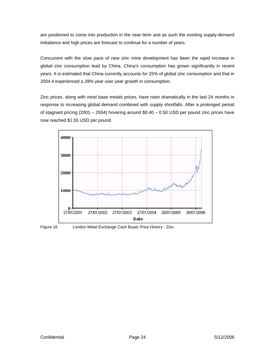<span id="page-23-0"></span>are positioned to come into production in the near term and as such the existing supply-demand imbalance and high prices are forecast to continue for a number of years.

Concurrent with the slow pace of new zinc mine development has been the rapid increase in global zinc consumption lead by China. China's consumption has grown significantly in recent years. It is estimated that China currently accounts for 25% of global zinc consumption and that in 2004 it experienced a 28% year over year growth in consumption.

Zinc prices, along with most base metals prices, have risen dramatically in the last 24 months in response to increasing global demand combined with supply shortfalls. After a prolonged period of stagnant pricing (2001  $-$  2004) hovering around \$0.40  $-$  0.50 USD per pound zinc prices have now reached \$1.55 USD per pound.



Figure 16. London Metal Exchange Cash Buyer Price History - Zinc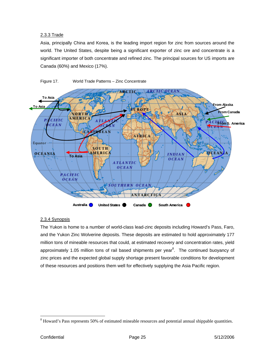# <span id="page-24-0"></span>2.3.3 Trade

Asia, principally China and Korea, is the leading import region for zinc from sources around the world. The United States, despite being a significant exporter of zinc ore and concentrate is a significant importer of both concentrate and refined zinc. The principal sources for US imports are Canada (60%) and Mexico (17%).



Figure 17. World Trade Patterns – Zinc Concentrate

## 2.3.4 Synopsis

The Yukon is home to a number of world-class lead-zinc deposits including Howard's Pass, Faro, and the Yukon Zinc Wolverine deposits. These deposits are estimated to hold approximately 177 million tons of mineable resources that could, at estimated recovery and concentration rates, yield approximately 1.05 million tons of rail based shipments per year ${}^{8}$ . The continued buoyancy of zinc prices and the expected global supply shortage present favorable conditions for development of these resources and positions them well for effectively supplying the Asia Pacific region.

<span id="page-24-1"></span><sup>&</sup>lt;sup>8</sup> Howard's Pass represents 50% of estimated mineable resources and potential annual shippable quantities.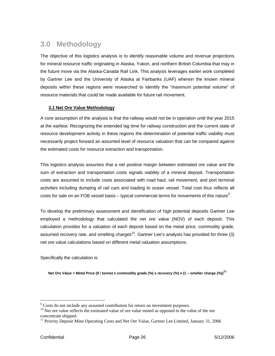# <span id="page-25-0"></span>**3.0 Methodology**

The objective of this logistics analysis is to identify reasonable volume and revenue projections for mineral resource traffic originating in Alaska, Yukon, and northern British Columbia that may in the future move via the Alaska-Canada Rail Link. This analysis leverages earlier work completed by Gartner Lee and the University of Alaska at Fairbanks (UAF) wherein the known mineral deposits within these regions were researched to identify the "maximum potential volume" of resource materials that could be made available for future rail movement.

# **3.1 Net Ore Value Methodology**

A core assumption of the analysis is that the railway would not be in operation until the year 2015 at the earliest. Recognizing the extended lag time for railway construction and the current state of resource development activity in these regions the determination of potential traffic viability must necessarily project forward an assumed level of resource valuation that can be compared against the estimated costs for resource extraction and transportation.

activities including dumping of rail cars and loading to ocean vessel. Total cost thus reflects all costs for sale on an FOB vessel basis – typical commercial terms for movements of this nature<sup>[9](#page-25-1)</sup>. This logistics analysis assumes that a net positive margin between estimated ore value and the sum of extraction and transportation costs signals viability of a mineral deposit. Transportation costs are assumed to include costs associated with road haul, rail movement, and port terminal

To develop the preliminary assessment and identification of high potential deposits Gartner Lee employed a methodology that calculated the net ore value (NOV) of each deposit. This calculation provides for a valuation of each deposit based on the metal price, commodity grade, assumed recovery rate, and smelting charges<sup>10</sup>. Gartner Lee's analysis has provided for three (3) net ore value calculations based on different metal valuation assumptions.

Specifically the calculation is:

**Net Ore Value = Metal Price (\$ / tonne) x commodity grade (%) x recovery (%) x (1 – smelter charge (%)) [11](#page-25-3)**

 $\overline{a}$ 

<span id="page-25-1"></span><sup>&</sup>lt;sup>9</sup> Costs do not include any assumed contribution for return on investment purposes.

<span id="page-25-2"></span><sup>&</sup>lt;sup>10</sup> Net ore value reflects the estimated value of ore value mined as opposed to the value of the ore concentrate shipped.

<span id="page-25-3"></span><sup>&</sup>lt;sup>11</sup> Priority Deposit Mine Operating Costs and Net Ore Value, Gartner Lee Limited, January 31, 2006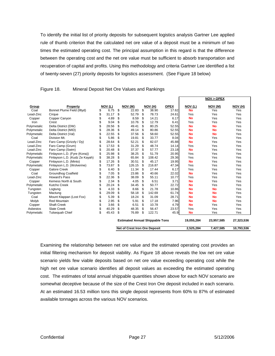To identify the initial list of priority deposits for subsequent logistics analysis Gartner Lee applied rule of thumb criterion that the calculated net ore value of a deposit must be a minimum of two times the estimated operating cost. The principal assumption in this regard is that the difference between the operating cost and the net ore value must be sufficient to absorb transportation and recuperation of capital and profits. Using this methodology and criteria Gartner Lee identified a list of twenty-seven (27) priority deposits for logistics assessment. (See Figure 18 below)

|             |                                                                              |    |        |    |                                        |     |         |             |            | NOV > OPEX |            |
|-------------|------------------------------------------------------------------------------|----|--------|----|----------------------------------------|-----|---------|-------------|------------|------------|------------|
| Group       | <b>Property</b>                                                              |    | NOV(L) |    | NOV (M)                                |     | NOV (H) | <b>OPEX</b> | NOV (L)    | NOV (M)    | NOV (H)    |
| Coal        | Bonnet Plume Field (Illtyd)                                                  | \$ | 6.75   | \$ | 22.83                                  | \$  | 38.90   | 17.62       | <b>No</b>  | Yes        | Yes        |
| Lead-Zinc   | Cirque                                                                       | \$ | 31.17  | \$ | 52.79                                  | \$  | 78.73   | 24.61       | Yes        | Yes        | Yes        |
| Copper      | Copper Canyon                                                                | \$ | 4.89   | \$ | 8.59                                   | \$  | 14.21   | 6.17        | <b>No</b>  | Yes        | Yes        |
| Iron        | Crest                                                                        | \$ | 9.04   | \$ | 10.76                                  | \$  | 12.79   | 6.41        | Yes        | Yes        | Yes        |
| Polymetalic | Delta District (DW)                                                          | \$ | 28.56  | \$ | 49.41                                  | \$  | 80.25   | 52.55       | <b>No</b>  | <b>No</b>  | Yes        |
| Polymetalic | Delta District (MID)                                                         | \$ | 28.36  | \$ | 49.14                                  | \$  | 80.86   | 52.55       | <b>No</b>  | <b>No</b>  | Yes        |
| Polymetalic | Delta District (Val)                                                         | \$ | 22.55  | \$ | 37.56                                  | \$  | 58.60   | 52.55       | <b>No</b>  | <b>No</b>  | Yes        |
| Coal        | Division Mt.                                                                 | \$ | 5.86   | \$ | 19.81                                  | \$  | 33.77   | 8.04        | <b>No</b>  | Yes        | Yes        |
| Lead-Zinc   | Faro Camp (Grizzly / Dy)                                                     | \$ | 28.64  | \$ | 52.21                                  | \$. | 82.07   | 45.88       | <b>No</b>  | Yes        | Yes        |
| Lead-Zinc   | Faro Camp (Grum)                                                             | \$ | 17.53  | \$ | 31.29                                  | \$  | 48.74   | 14.14       | Yes        | Yes        | Yes        |
| Lead-Zinc   | Faro Camp (Swim)                                                             | \$ | 20.48  | \$ | 37.37                                  | \$  | 57.77   | 23.18       | <b>No</b>  | Yes        | Yes        |
| Polymetalic | Finlayson L.D. (Fyre (Kona))                                                 | \$ | 25.98  | \$ | 38.25                                  | \$  | 51.79   | 20.95       | Yes        | Yes        | Yes        |
| Polymetalic | Finlayson L.D. (Kudz Ze Kayah)                                               | \$ | 38.28  | \$ | 65.84                                  | \$  | 108.42  | 29.36       | Yes        | Yes        | Yes        |
| Copper      | Finlayson L.D. (Minto)                                                       | \$ | 17.26  | \$ | 30.51                                  | \$  | 45.17   | 19.95       | <b>No</b>  | Yes        | Yes        |
| Polymetalic | Finlayson L.D. (Wolverine)                                                   | \$ | 73.87  | \$ | 126.15                                 | \$  | 216.87  | 47.34       | Yes        | Yes        | Yes        |
| Copper      | Galore Creek                                                                 | \$ | 6.40   | \$ | 11.34                                  | \$  | 17.44   | 6.17        | Yes        | Yes        | Yes        |
| Coal        | <b>Groundhog Coalfield</b>                                                   | \$ | 7.05   | \$ | 23.86                                  | \$  | 40.66   | 22.02       | <b>No</b>  | Yes        | Yes        |
| Lead-Zinc   | Howard's Pass                                                                | \$ | 22.36  | \$ | 38.09                                  | \$  | 55.11   | 10.77       | Yes        | Yes        | Yes        |
| Copper      | Kemess North & South                                                         | \$ | 2.34   | \$ | 4.05                                   | \$  | 6.51    | 3.71        | <b>No</b>  | Yes        | Yes        |
| Polymetalic | Kutcho Creek                                                                 | \$ | 20.24  | \$ | 34.45                                  | \$  | 50.77   | 22.72       | <b>No</b>  | Yes        | Yes        |
| Tungsten    | Logtung                                                                      | \$ | 4.33   | \$ | 8.66                                   | \$  | 21.78   | 10.86       | <b>No</b>  | <b>No</b>  | Yes        |
| Tungsten    | Mactung                                                                      | \$ | 29.09  | \$ | 58.18                                  | \$  | 142.69  | 61.74       | <b>No</b>  | <b>No</b>  | Yes        |
| Coal        | Mount Klappan (Lost Fox)                                                     | \$ | 5.39   | \$ | 18.24                                  | \$  | 31.09   | 28.71       | <b>No</b>  | <b>No</b>  | Yes        |
| Molyb       | <b>Red Mountain</b>                                                          | \$ | 2.95   | \$ | 5.91                                   | \$  | 17.18   | 7.96        | <b>No</b>  | <b>No</b>  | Yes        |
| Copper      | <b>Shaft Creek</b>                                                           | \$ | 3.66   | \$ | 6.51                                   | \$  | 10.78   | 4.79        | <b>No</b>  | Yes        | Yes        |
| Asbestos    | <b>Slate Creek</b>                                                           | \$ | 40.29  | \$ | 48.35                                  | \$  | 56.47   | 23.57       | Yes        | Yes        | Yes        |
| Polymetalic | <b>Tulsequah Chief</b>                                                       | \$ | 45.43  | \$ | 76.89                                  | \$  | 122.71  | 45.9        | <b>No</b>  | Yes        | Yes        |
|             |                                                                              |    |        |    | <b>Estimated Annual Shippable Tons</b> |     |         |             | 19,055,284 | 23,957,585 | 27,323,536 |
|             | <b>Net of Crest Iron Ore Deposit</b><br>2,525,284<br>7,427,585<br>10,793,536 |    |        |    |                                        |     |         |             |            |            |            |

Figure 18. Mineral Deposit Net Ore Values and Rankings

Examining the relationship between net ore value and the estimated operating cost provides an initial filtering mechanism for deposit viability. As Figure 18 above reveals the low net ore value scenario yields few viable deposits based on net ore value exceeding operating cost while the high net ore value scenario identifies all deposit values as exceeding the estimated operating cost. The estimates of total annual shippable quantities shown above for each NOV scenario are somewhat deceptive because of the size of the Crest Iron Ore deposit included in each scenario. At an estimated 16.53 million tons this single deposit represents from 60% to 87% of estimated available tonnages across the various NOV scenarios.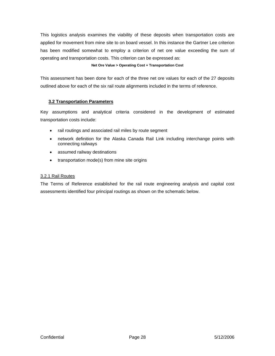<span id="page-27-0"></span>This logistics analysis examines the viability of these deposits when transportation costs are applied for movement from mine site to on board vessel. In this instance the Gartner Lee criterion has been modified somewhat to employ a criterion of net ore value exceeding the sum of operating and transportation costs. This criterion can be expressed as:

#### **Net Ore Value > Operating Cost + Transportation Cost**

This assessment has been done for each of the three net ore values for each of the 27 deposits outlined above for each of the six rail route alignments included in the terms of reference.

# **3.2 Transportation Parameters**

Key assumptions and analytical criteria considered in the development of estimated transportation costs include:

- rail routings and associated rail miles by route segment
- network definition for the Alaska Canada Rail Link including interchange points with connecting railways
- assumed railway destinations
- transportation mode(s) from mine site origins

# 3.2.1 Rail Routes

The Terms of Reference established for the rail route engineering analysis and capital cost assessments identified four principal routings as shown on the schematic below.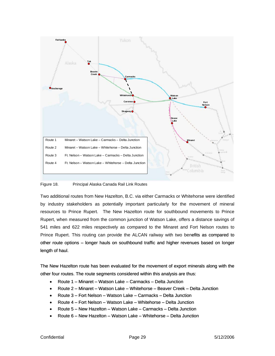<span id="page-28-0"></span>

#### Figure 18. Principal Alaska Canada Rail Link Routes

Two additional routes from New Hazelton, B.C. via either Carmacks or Whitehorse were identified by industry stakeholders as potentially important particularly for the movement of mineral resources to Prince Rupert. The New Hazelton route for southbound [m](#page-22-0)ovements to Prince<br>Rupert, when measured from the common junction of Watson Lake, offers a distance savings of<br>541 miles and 622 miles respectively as comp Rupert, when measured from the common junction of Watson Lake, offers a distance savings of 541 miles and 622 miles respectively as compared to the Minaret and Fort Nelson routes to Prince Rupert. This routing can provide the ALCAN railway with two benefits as compared to other route options – longer hauls on southbound traffic and higher revenues based on longer length of haul.

The New Hazelton route has been evaluated for the movement of export minerals along with the other four routes. The route segments considered within this analysis are thus:

- Route 1 Minaret Watson Lake Carmacks Delta Junction
- Route 2 Minaret Watson Lake Whitehorse Beaver Creek Delta Junction
- Route 3 Fort Nelson Watson Lake Carmacks Delta Junction
- Route 4 Fort Nelson Watson Lake Whitehorse Delta Junction
- Route 5 New Hazelton Watson Lake Carmacks Delta Junction
- Route 6 New Hazelton Watson Lake Whitehorse Delta Junction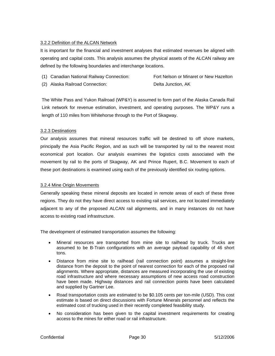#### <span id="page-29-0"></span>3.2.2 Definition of the ALCAN Network

It is important for the financial and investment analyses that estimated revenues be aligned with operating and capital costs. This analysis assumes the physical assets of the ALCAN railway are defined by the following b oundaries and interchange locations.

- (1) Canadian National Railway Connection: Fort Nelson or Minaret or New Hazelton
- (2) Alaska Railroad Connection: Delta Junction, AK

The White Pass and Yukon Railroad (WP&Y) is assumed to form part of the Alaska Canada Rail Link network for revenue estimation, investment, and operating purposes. The WP&Y runs a length of 110 miles from Whitehorse through to the Port of Skagway.

#### 3.2.3 De stinations

Our analysis assumes that mineral resources traffic will be destined to off shore markets, principally the Asia Pacific Region, and as such will be transported by rail to the nearest most economical port location. Our analysis examines the logistics costs associated with the movement by rail to the ports of Skagway, AK and Prince Rupert, B.C. Movement to each of these port destinations is examined using each of the previously identified six routing options.

#### 3.2.4 Mine Origin Movements

Generally speaking these mineral deposits are located in remote areas of each of these three regions. They do not they have direct access to existing rail services, are not located immediately adjacent to any of the proposed ALCAN rail alignments, and in many instances do not have access to existing road infrastructure.

The development of estimated transportation assumes the following:

- Mineral resources are transported from mine site to railhead by truck. Trucks are assumed to be B-Train configurations with an average payload capability of 46 short tons.
- Distance from mine site to railhead (rail connection point) assumes a straight-line distance from the deposit to the point of nearest connection for each of the proposed rail alignments. Where appropriate, distances are measured incorporating the use of existing road infrastructure and where necessary assumptions of new access road construction have been made. Highway distances and rail connection points have been calculated and supplied by Gartner Lee.
- Road transportation costs are estimated to be \$0.105 cents per ton-mile (USD). This cost estimate is based on direct discussions with Fortune Minerals personnel and reflects the estimated cost of trucking used in their recently completed feasibility study.
- No consideration has been given to the capital investment requirements for creating access to the mines for either road or rail infrastructure.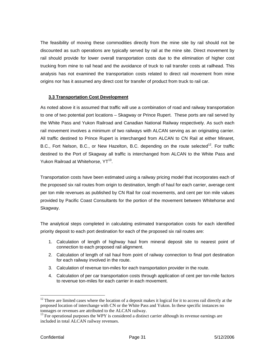<span id="page-30-0"></span>The feasibility of moving these commodities directly from the mine site by rail should not be discounted as such operations are typically served by rail at the mine site. Direct movement by rail should provide for lower overall transportation costs due to the elimination of higher cost trucking from mine to rail head and the avoidance of truck to rail transfer costs at railhead. This analysis has not examined the transportation costs related to direct rail movement from mine origins nor has it assumed any direct cost for transfer of product from truck to rail car.

#### **3.3 Transportation Cost Development**

As noted above it is assumed that traffic will use a combination of road and railway transportation to one of two potential port locations – Skagway or Prince Rupert. These ports are rail served by the White Pass and Yukon Railroad and Canadian National Railway respectively. As such each rail movement involves a minimum of two railways with ALCAN serving as an originating carrier. All traffic destined to Prince Rupert is interchanged from ALCAN to CN Rail at either Minaret, B.C., Fort Nelson, B.C., or New Hazelton, B.C. depending on the route selected<sup>12</sup>. For traffic destined to the Port of Skagway all traffic is interchanged from ALCAN to the White Pass and Yukon Railroad at Whitehorse, YT<sup>13</sup>.

Transportation costs have been estimated using a railway pricing model that incorporates each of the proposed six rail routes from origin to destination, length of haul for each carrier, average cent per ton mile revenues as published by CN Rail for coal movements, and cent per ton mile values provided by Pacific Coast Consultants for the portion of the movement between Whitehorse and Skagway.

The analytical steps completed in calculating estimated transportation costs for each identified priority deposit to each port destination for each of the proposed six rail routes are:

- 1. Calculation of length of highway haul from mineral deposit site to nearest point of connection to each proposed rail alignment.
- 2. Calculation of length of rail haul from point of railway connection to final port destination for each railway involved in the route.
- 3. Calculation of revenue ton-miles for each transportation provider in the route.
- 4. Calculation of per car transportation costs through application of cent per ton-mile factors to revenue ton-miles for each carrier in each movement.

<span id="page-30-1"></span> $12$  There are limited cases where the location of a deposit makes it logical for it to access rail directly at the proposed location of interchange with CN or the White Pass and Yukon. In these specific instances no tonnages or revenues are attributed to the ALCAN railway.<br><sup>13</sup> For operational purposes the WPY is considered a distinct carrier although its revenue earnings are tonnages or revenues are attributed to the ALCAN railway.

<span id="page-30-2"></span>included in total ALCAN railway revenues.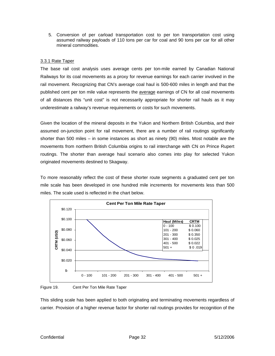<span id="page-31-0"></span>5. Conversion of per carload transportation cost to per ton transportation cost using assumed railway payloads of 110 tons per car for coal and 90 tons per car for all other mineral commodities.

#### 3.3.1 Rate Taper

The base rail cost analysis uses average cents per ton-mile earned by Canadian National Railways for its coal movements as a proxy for revenue earnings for each carrier involved in the rail movement. Recognizing that CN's average coal haul is 500-600 miles in length and that the published cent per ton mile value represents the **average** earnings of CN for all coal movements o f all distances this "unit cost" is not necessarily appropriate for shorter rail hauls as it may u nderestimate a railway's revenue requirements or costs for such movements.

Given the location of the mineral deposits in the Yukon and Northern British Columbia, and their assumed on-junction point for rail movement, there are a number of rail routings significantly shorter than 500 miles – in some instances as short as ninety (90) miles. Most notable are the movements from northern British Columbia origins to rail interchange with CN on Prince Rupert routings. The shorter than average haul scenario also comes into play for selected Yukon originated movements destined to Skagway.

To more reasonably reflect the cost of these shorter route segments a graduated cent per ton mile scale has been developed in one hundred mile increments for movements less than 500 miles. The scale used is reflected in the chart below.



Figure 19. Cent Per Ton Mile Rate Taper

This slid ing scale has been applied to both originating and terminating movements regardless of carrier. Provision of a higher revenue factor for shorter rail routings provides for recognition of the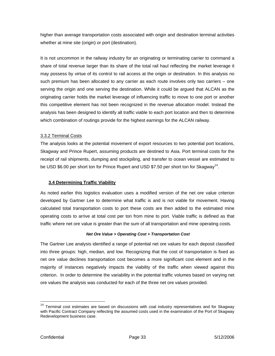<span id="page-32-0"></span>higher than average transportation costs associated with origin and destination terminal activities whether at mine site (origin) or port (destination).

such premium has been allocated to any carrier as each route involves only two carriers – one serving the origin and one serving the destination. While it could be argued that ALCAN as the originating carrier holds the market leverage of influencing traffic to move to one port or another It is not uncommon in the railway industry for an originating or terminating carrier to command a share of total revenue larger than its share of the total rail haul reflecting the market leverage it may possess by virtue of its control to rail access at the origin or destination. In this analysis no this competitive element has not been recognized in the revenue allocation model. Instead the analysis has been designed to identify all traffic viable to each port location and then to determine which combination of routings provide for the highest earnings for the ALCAN railway.

# 3.3.2 Terminal Costs

The analysis looks at the potential movement of export resources to two potential port locations, Skagway and Prince Rupert, assuming products are destined to Asia. Port terminal costs for the receipt of rail shipments, dumping and stockpiling, and transfer to ocean vessel are estimated to be USD \$6.00 per short ton for Prince Rupert and USD \$7.50 per short ton for Skagway<sup>[14](#page-32-1)</sup>.

## **3.4 Determining Traffic Viability**

As noted earlier this logistics evaluation uses a modified version of the net ore value criterion developed by Gartner Lee to determine what traffic is and is not viable for movement. Having calculated total transportation costs to port these costs are then added to the estimated mine operating costs to arrive at total cost per ton from mine to port. Viable traffic is defined as that traffic where net ore value is greater than the sum of all transportation and mine operating costs.

## *Net Ore Value > Operating Cost + Transportation Cost*

The Gartner Lee analysis identified a range of potential net ore values for each deposit classified into thre e groups: high, median, and low. Recognizing that the cost of transportation is fixed as net ore value declines transportation cost becomes a more significant cost element and in the majority of instances negatively impacts the viability of the traffic when viewed against this crite rion. In order to determine the variability in the potential traffic volumes based on varying net ore values the analysis was conducted for each of the three net ore values provided.

 $\overline{a}$ 

<span id="page-32-1"></span> $14$  Terminal cost estimates are based on discussions with coal industry representatives and for Skagway with Pacific Contract Company reflecting the assumed costs used in the examination of the Port of Skagway Redevelopment business case.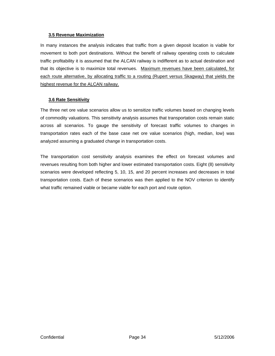#### <span id="page-33-0"></span>**3.5 Revenue Maximization**

In many instances the analysis indicates that traffic from a given deposit location is viable for movement to both port destinations. Without the benefit of railway operating costs to calculate traffic profitability it is assumed that the ALCAN railway is indifferent as to actual destination and that its objective is to maximize total revenues. Maximum revenues have been calculated, for each route alternative, by allocating traffic to a routing (Rupert versus Skagway) that yields the highest revenue for the ALCAN railway.

## **3.6 Rate Sensitivity**

The three net ore value scenarios allow us to sensitize traffic volumes based on changing levels of commodity valuations. This sensitivity analysis assumes that transportation costs remain static across all scenarios. To gauge the sensitivity of forecast traffic volumes to changes in transportation rates each of the base case net ore value scenarios (high, median, low) was analyzed assuming a graduated change in transportation costs.

revenues resulting from both higher and lower estimated transportation costs. Eight (8) sensitivity scenarios were developed reflecting 5, 10, 15, and 20 percent increases and decreases in total The transportation cost sensitivity analysis examines the effect on forecast volumes and transportation costs. Each of these scenarios was then applied to the NOV criterion to identify what traffic remained viable or became viable for each port and route option.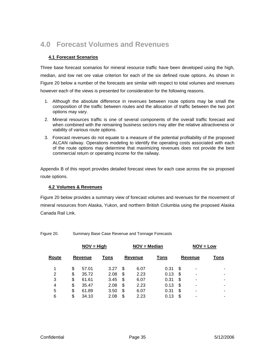# <span id="page-34-0"></span>**4.0 Forecast Volumes and Revenues**

# **4.1 Forecast Scenarios**

however each of the views is presented for consideration for the following reasons. Three base forecast scenarios for mineral resource traffic have been developed using the high, median, and low net ore value criterion for each of the six defined route options. As shown in Figure 20 below a number of the forecasts are similar with respect to total volumes and revenues

- 1. Although the absolute difference in revenues between route options may be small the composition of the traffic between routes and the allocation of traffic between the two port options may vary.
- 2. Mineral resources traffic is one of several components of the overall traffic forecast and when combined with the remaining business sectors may alter the relative attractiveness or viability of various route options.
- 3. Forecast revenues do not equate to a measure of the potential profitability of the proposed ALCAN railway. Operations modeling to identify the operating costs associated with each of the route options may determine that maximizing revenues does not provide the best commercial return or operating income for the railway.

Appendix B of this report provides detailed forecast views for each case across the six proposed route options.

## **4.2 Volumes & Revenues**

Figure 20 below provides a summary view of forecast volumes and revenues for the movement of mineral resources from Alaska, Yukon, and northern British Columbia using the proposed Alaska Canada Rail Link.

Figure 20. Summary Base Case Revenue and Tonnage Forecasts

|       |         | $NOV = High$ |      |    | NOV = Median |             |    | $NOV = Low$ |      |  |  |  |
|-------|---------|--------------|------|----|--------------|-------------|----|-------------|------|--|--|--|
| Route | Revenue |              | Tons |    | Revenue      | <b>Tons</b> |    | Revenue     | Tons |  |  |  |
| 1     | \$      | 57.01        | 3.27 | S  | 6.07         | 0.31        | S  | -           |      |  |  |  |
| 2     | \$      | 35.72        | 2.08 | S  | 2.23         | 0.13        | S  | -           |      |  |  |  |
| 3     | \$      | 61.61        | 3.45 | S  | 6.07         | 0.31        | \$ | -           |      |  |  |  |
| 4     | \$      | 35.47        | 2.08 | \$ | 2.23         | 0.13        | \$ | ۰           |      |  |  |  |
| 5     | \$      | 61.89        | 3.50 | \$ | 6.07         | 0.31        | \$ | ۰           |      |  |  |  |
| 6     | \$      | 34.10        | 2.08 | \$ | 2.23         | 0.13        | \$ | -           | ۰    |  |  |  |
|       |         |              |      |    |              |             |    |             |      |  |  |  |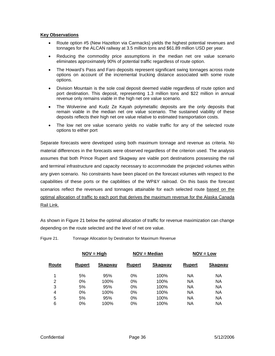#### <span id="page-35-0"></span>**Key Observations**

- Route option #5 (New Hazelton via Carmacks) yields the highest potential revenues and tonnages for the ALCAN railway at 3.5 million tons and \$61.89 million USD per year.
- Reducing the commodity price assumptions in the median net ore value scenario eliminates approximately 90% of potential traffic regardless of route option.
- The Howard's Pass and Faro deposits represent significant swing tonnages across route options on account of the incremental trucking distance associated with some route options.
- Division Mountain is the sole coal deposit deemed viable regardless of route option and port destination. This deposit, representing 1.3 million tons and \$22 million in annual revenue only remains viable in the high net ore value scenario.
- The Wolverine and Kudz Ze Kayah polymetallic deposits are the only deposits that remain viable in the median net ore value scenario. The sustained viability of these deposits reflects their high net ore value relative to estimated transportation costs.
- The low net ore value scenario yields no viable traffic for any of the selected route options to either port

Separate forecasts were developed using both maximum tonnage and revenue as criteria. No material differences in the forecasts were observed regardless of the criterion used. The analysis assumes that both Prince Rupert and Skagway are viable port destinations possessing the rail and terminal infrastructure and capacity necessary to accommodate the projected volumes within any given scenario. No constraints have been placed on the forecast volumes with respect to the capabilities of these ports or the capbilities of the WP&Y railroad. On this basis the forecast scenarios reflect the revenues and tonnages attainable for each selected route based on the optimal allocation of traffic to each port that derives the maximum revenue for the Alaska Canada Rail Link.

As shown in Figure 21 below the optimal allocation of traffic for revenue maximization can change depending on the route selected and the level of net ore value.

|               |                |               |                | $NOV = Low$    |                |  |  |  |
|---------------|----------------|---------------|----------------|----------------|----------------|--|--|--|
| <b>Rupert</b> | <b>Skagway</b> | <b>Rupert</b> | <b>Skagway</b> | <b>Rupert</b>  | <b>Skagway</b> |  |  |  |
| 5%            | 95%            | $0\%$         | 100%           | NA             | NA             |  |  |  |
| $0\%$         | 100%           | $0\%$         | 100%           | NA             | NA             |  |  |  |
| 5%            | 95%            | 0%            | 100%           | ΝA             | NA             |  |  |  |
| $0\%$         | 100%           | 0%            | 100%           | NA             | NA             |  |  |  |
| 5%            | 95%            | 0%            | 100%           | NA             | <b>NA</b>      |  |  |  |
| $0\%$         | 100%           | 0%            | 100%           | ΝA             | ΝA             |  |  |  |
|               |                | $NOV = High$  |                | $NOV = Median$ |                |  |  |  |

Figure 21. Tonnage Allocation by Destination for Maximum Revenue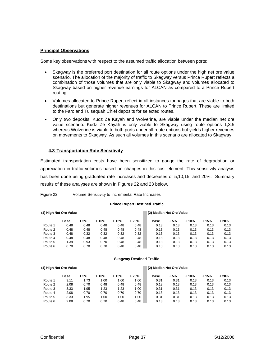#### <span id="page-36-0"></span>**Principal Observations**

Some key observations with respect to the assumed traffic allocation between ports:

- Skagway based on higher revenue earnings for ALCAN as compared to a Prince Rupert Skagway is the preferred port destination for all route options under the high net ore value scenario. The allocation of the majority of traffic to Skagway versus Prince Rupert reflects a combination of those volumes that are only viable to Skagway and volumes allocated to routing.
- to the Faro and Tulsequah Chief deposits for selected routes. • Volumes allocated to Prince Rupert reflect in all instances tonnages that are viable to both destinations but generate higher revenues for ALCAN to Prince Rupert. These are limited
- whereas Wolverine is viable to both ports under all route options but yields higher revenues • Only two deposits, Kudz Ze Kayah and Wolverine, are viable under the median net ore value scenario. Kudz Ze Kayah is only viable to Skagway using route options 1,3,5 on movements to Skagway. As such all volumes in this scenario are allocated to Skagway.

#### **4. 3 Transportation Rate Sensitivity**

Estimated transportation costs have been sensitized to gauge the rate of degradation or has been done using graduated rate increases and decreases of 5,10,15, and 20%. Summary results of these analyses are shown in Figures 22 and 23 below. appreciation in traffic volumes based on changes in this cost element. This sensitivity analysis

| Figure 22. | Volume Sensitivity to Incremental Rate Increases |  |
|------------|--------------------------------------------------|--|
|            |                                                  |  |
|            |                                                  |  |

#### **Prince Rupert Destined Traffic**

|         | (1) High Net Ore Value |       |        |        |        |  |             | (2) Median Net Ore Value |       |       |        |  |  |  |  |  |
|---------|------------------------|-------|--------|--------|--------|--|-------------|--------------------------|-------|-------|--------|--|--|--|--|--|
|         | <b>Base</b>            | $+5%$ | $+10%$ | $+15%$ | $+20%$ |  | <b>Base</b> | $+5%$                    | + 10% | + 15% | $+20%$ |  |  |  |  |  |
| Route 1 | 0.48                   | 0.48  | 0.48   | 0.48   | 0.48   |  | 0.13        | 0.13                     | 0.13  | 0.13  | 0.13   |  |  |  |  |  |
| Route 2 | 0.48                   | 0.48  | 0.48   | 0.48   | 0.48   |  | 0.13        | 0.13                     | 0.13  | 0.13  | 0.13   |  |  |  |  |  |
| Route 3 | 0.48                   | 0.32  | 0.32   | 0.32   | 0.32   |  | 0.13        | 0.13                     | 0.13  | 0.13  | 0.13   |  |  |  |  |  |
| Route 4 | 0.48                   | 0.48  | 0.48   | 0.48   | 0.48   |  | 0.13        | 0.13                     | 0.13  | 0.13  | 0.13   |  |  |  |  |  |
| Route 5 | 1.39                   | 0.93  | 0.70   | 0.48   | 0.48   |  | 0.13        | 0.13                     | 0.13  | 0.13  | 0.13   |  |  |  |  |  |
| Route 6 | 0.70                   | 0.70  | 0.70   | 0.48   | 0.48   |  | 0.13        | 0.13                     | 0.13  | 0.13  | 0.13   |  |  |  |  |  |

#### **Skagway Destined Traffic**

#### **Base + 5% + 10% + 15% + 20% Base + 5% + 10% + 15% + 20%** Route 1 3.11 1.73 1.00 1.00 1.00 0.31 0.31 0.13 0.13 0.13 Route 2 2.08 0.70 0.48 0.48 0.48 0.13 0.13 0.13 0.13 0.13 Route 3 3.33 1.95 1.23 1.23 1.00 0.31 0.31 0.13 0.13 0.13 Route 4 2.08 0.70 0.70 0.70 0.70 0.13 0.13 0.13 0.13 0.13 Route 5 3.33 1.95 1.00 1.00 1.00 0.31 0.31 0.13 0.13 0.13

**(1) High Net Ore Value (2) Median Net Ore Value**

Route 6 2.08 0.70 0.70 0.48 0.48 0.13 0.13 0.13 0.13 0.13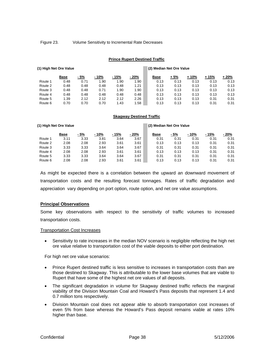<span id="page-37-0"></span>Figure 23. Volume Sensitivity to Incremental Rate Decreases

#### **Prince Rupert Destined Traffic**

|         | (1) High Net Ore Value |      |        |        |       |             | (2) Median Net Ore Value |       |       |       |  |  |  |  |
|---------|------------------------|------|--------|--------|-------|-------------|--------------------------|-------|-------|-------|--|--|--|--|
|         | <b>Base</b>            | - 5% | $-10%$ | $-15%$ | - 20% | <b>Base</b> | + 5%                     | + 10% | + 15% | + 20% |  |  |  |  |
| Route 1 | 0.48                   | 0.71 | .90    | 1.90   | 1.90  | 0.13        | 0.13                     | 0.13  | 0.13  | 0.13  |  |  |  |  |
| Route 2 | 0.48                   | 0.48 | 0.48   | 0.48   | 1.21  | 0.13        | 0.13                     | 0.13  | 0.13  | 0.13  |  |  |  |  |
| Route 3 | 0.48                   | 0.48 | 0.71   | 1.90   | 1.90  | 0.13        | 0.13                     | 0.13  | 0.13  | 0.13  |  |  |  |  |
| Route 4 | 0.48                   | 0.48 | 0.48   | 0.48   | 0.48  | 0.13        | 0.13                     | 0.13  | 0.13  | 0.13  |  |  |  |  |
| Route 5 | 1.39                   | 2.12 | 2.12   | 2.12   | 2.26  | 0.13        | 0.13                     | 0.13  | 0.31  | 0.31  |  |  |  |  |
| Route 6 | 0.70                   | 0.70 | 0.70   | 1.43   | 1.58  | 0.13        | 0.13                     | 0.13  | 0.31  | 0.31  |  |  |  |  |

#### **Skagway Destined Traffic**

|         | (1) High Net Ore Value |      |       |        |       | (2) Median Net Ore Value |      |       |       |       |  |  |  |  |
|---------|------------------------|------|-------|--------|-------|--------------------------|------|-------|-------|-------|--|--|--|--|
|         | Base                   | - 5% | - 10% | $-15%$ | - 20% | <b>Base</b>              | - 5% | - 10% | - 15% | - 20% |  |  |  |  |
| Route 1 | 3.11                   | 3.33 | 3.81  | 3.64   | 3.67  | 0.31                     | 0.31 | 0.31  | 0.31  | 0.31  |  |  |  |  |
| Route 2 | 2.08                   | 2.08 | 2.93  | 3.61   | 3.61  | 0.13                     | 0.13 | 0.13  | 0.31  | 0.31  |  |  |  |  |
| Route 3 | 3.33                   | 3.33 | 3.64  | 3.64   | 3.67  | 0.31                     | 0.31 | 0.31  | 0.31  | 0.31  |  |  |  |  |
| Route 4 | 2.08                   | 2.08 | 2.93  | 3.61   | 3.61  | 0.13                     | 0.13 | 0.13  | 0.31  | 0.31  |  |  |  |  |
| Route 5 | 3.33                   | 3.33 | 3.64  | 3.64   | 3.67  | 0.31                     | 0.31 | 0.31  | 0.31  | 0.31  |  |  |  |  |
| Route 6 | 2.08                   | 2.08 | 2.93  | 3.61   | 3.61  | 0.13                     | 0.13 | 0.13  | 0.31  | 0.31  |  |  |  |  |

As might be expected there is a correlation between the upward an downward movement of transportation costs and the resulting forecast tonnages. Rates of traffic degradation and appreciation vary depending on port option, route option, and net ore value assumptions.

#### **Principal Observations**

Some key observations with respect to the sensitivity of traffic volumes to increased transportation costs.

#### Transportation Cost Increases

• Sensitivity to rate increases in the median NOV scenario is negligible reflecting the high net ore value relative to transportation cost of the viable deposits to either port destination.

For high net ore value scenarios:

- Prince Rupert destined traffic is less sensitive to increases in transportation costs than are those destined to Skagway. This is attributable to the lower base volumes that are viable to Rupert that have some of the highest net ore values of all deposits.
- The significant degradation in volume for Skagway destined traffic reflects the marginal viability of the Division Mountain Coal and Howard's Pass deposits that represent 1.4 and 0.7 million tons respectively.
- Division Mountain coal does not appear able to absorb transportation cost increases of even 5% from base whereas the Howard's Pass deposit remains viable at rates 10% higher than base.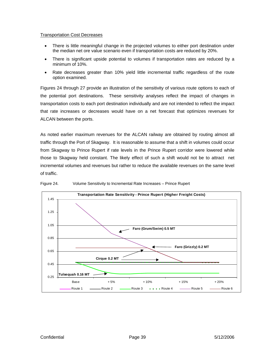#### <span id="page-38-0"></span>Transportation Cost Decreases

- There is little meaningful change in the projected volumes to either port destination under the median net ore value scenario even if transportation costs are reduced by 20%.
- There is significant upside potential to volumes if transportation rates are reduced by a minimum of 10%.
- Rate decreases greater than 10% yield little incremental traffic regardless of the route option examined.

Figure s 24 through 27 provide an illustration of the sensitivity of various route options to each of the potential port destinations. These sensitivity analyses reflect the impact of changes in transportation costs to each port destination individually and are not intended to reflect the impact that rate increases or decreases would have on a net forecast that optimizes revenues for ALCAN between the ports.

As no ted earlier maximum revenues for the ALCAN railway are obtained by routing almost all traffic through the Port of Skagway. It is reasonable to assume that a shift in volumes could occur from Skagway to Prince Rupert if rate levels in the Prince Rupert corridor were lowered while those to Skagway held constant. The likely effect of such a shift would not be to attract net incremental volumes and revenues but rather to reduce the available revenues on the same level of traffic.



Figure 24. Volume Sensitivity to Incremental Rate Increases – Prince Rupert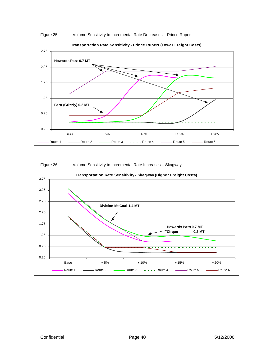<span id="page-39-0"></span>





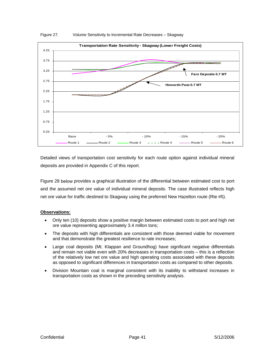<span id="page-40-0"></span>

Figure 27. Volume Sensitivity to Incremental Rate Decreases – Skagway

Detailed views of transportation cost sensitivity for each route option against individual mineral deposits are provided in Appendix C of this report.

Figure 28 below provides a graphical illustration of the differential between estimated cost to port and the assumed net ore value of individual mineral deposits. The case illustrated reflects high net ore value for traffic destined to Skagway using the preferred New Hazelton route (Rte #5).

## **Observations:**

- Only ten (10) deposits show a positive margin between estimated costs to port and high net ore value representing approximately 3.4 millon tons;
- The deposits with high differentials are consistent with those deemed viable for movement and that demonstrate the greatest resilience to rate increases;
- Large coal deposits (Mt. Klappan and Groundhog) have significant negative differentials and remain not viable even with 20% decreases in transportation costs – this is a reflection of the relatively low net ore value and high operating costs associated with these deposits as opposed to significant differences in transportation costs as compared to other deposits.
- Division Mountain coal is marginal consistent with its inability to withstand increases in transportation costs as shown in the preceding sensitivity analysis.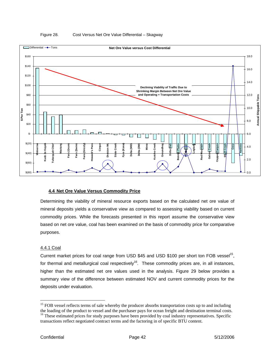<span id="page-41-0"></span>

#### Figure 28. Cost Versus Net Ore Value Differential – Skagway

## **4.4 Net Ore Value Versus Commodity Price**

Determining the viability of mineral resource exports based on the calculated net ore value of mineral deposits yields a conservative view as compared to assessing viability based on current commodity prices. While the forecasts presented in this report assume the conservative view based on net ore value, coal has been examined on the basis of commodity price for comparative purposes.

#### 4.4.1 Coal

Current market prices for coal range from USD \$45 and USD \$100 per short ton FOB vessel<sup>15</sup>, for thermal and metallurgical coal respectively<sup>16</sup>. These commodity prices are, in all instances, higher than the estimated net ore values used in the analysis. Figure 29 below provides a summary view of the difference between estimated NOV and current commodity prices for the deposits under evaluation.

 $\overline{a}$ 

<span id="page-41-2"></span><span id="page-41-1"></span><sup>&</sup>lt;sup>15</sup> FOB vessel reflects terms of sale whereby the producer absorbs transportation costs up to and including the loading of the product to vessel and the purchaser pays for ocean freight and destination terminal costs. <sup>16</sup> These estimated prices for study purposes have been provided by coal industry representatives. Specific transactions reflect negotiated contract terms and the factoring in of specific BTU content.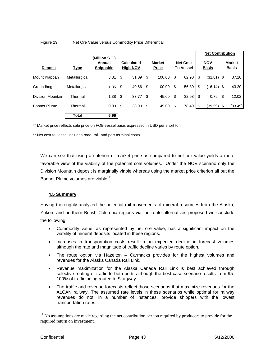#### <span id="page-42-0"></span>Figure 29. Net Ore Value versus Commodity Price Differential

|                     |               | (Million S.T.)             |                                      |       |    |                               |                                     |                |                            | <b>Net Contribution</b> |    |                               |  |
|---------------------|---------------|----------------------------|--------------------------------------|-------|----|-------------------------------|-------------------------------------|----------------|----------------------------|-------------------------|----|-------------------------------|--|
| <b>Deposit</b>      | <b>Type</b>   | Annual<br><b>Shippable</b> | <b>Calculated</b><br><b>High NOV</b> |       |    | <b>Market</b><br><b>Price</b> | <b>Net Cost</b><br><b>To Vessel</b> |                | <b>NOV</b><br><b>Basis</b> |                         |    | <b>Market</b><br><b>Basis</b> |  |
| Mount Klappan       | Metallurgical | 3.31                       | \$                                   | 31.09 | \$ | 100.00                        | \$                                  | 62.90          | \$                         | $(31.81)$ \$            |    | 37.10                         |  |
| Groundhog           | Metallurgical | 1.35                       | \$                                   | 40.66 | \$ | 100.00                        | \$                                  | 56.80          | \$                         | $(16.14)$ \$            |    | 43.20                         |  |
| Division Mountain   | Thermal       | 1.38                       | \$                                   | 33.77 | -S | 45.00                         | \$                                  | 32.98          | \$                         | 0.79                    | S  | 12.02                         |  |
| <b>Bonnet Plume</b> | Thermal       | 0.93                       | \$                                   | 38.90 | \$ | 45.00                         | \$                                  | $78.49$ \ \ \$ |                            | (39.59)                 | \$ | (33.49)                       |  |
|                     | Total         | 6.96                       |                                      |       |    |                               |                                     |                |                            |                         |    |                               |  |

\*\* Market price reflects sale price on FOB vessel basis expressed in USD per short ton.

\*\* Net cost to vessel includes road, rail, and port terminal costs.

favorable view of the viability of the potential coal volumes. Under the NOV scenario only the Division Mountain deposit is marginally viable whereas using the market price criterion all but the Bonnet Plume volumes are viable<sup>[17](#page-42-1)</sup>. We can see that using a criterion of market price as compared to net ore value yields a more

## **4.5 Summary**

Having thoroughly analyzed the potential rail movements of mineral resources from the Alaska, Yukon, and northern British Columbia regions via the route alternatives proposed we conclude the following:

- Commodity value, as represented by net ore value, has a significant impact on the viability of mineral deposits located in these regions.
- Increases in transportation costs result in an expected decline in forecast volumes although the rate and magnitude of traffic decline varies by route option.
- The route option via Hazelton Carmacks provides for the highest volumes and revenues for the Alaska Canada Rail Link.
- Revenue maximization for the Alaska Canada Rail Link is best achieved through selective routing of traffic to both ports although the best-case scenario results from 95- 100% of traffic being routed to Skagway.
- The traffic and revenue forecasts reflect those scenarios that maximize revenues for the ALCAN railway. The assumed rate levels in these scenarios while optimal for railway revenues do not, in a number of instances, provide shippers with the lowest transportation rates.

<span id="page-42-1"></span> $17$  No assumptions are made regarding the net contribution per ton required by producers to provide for the required return on investment.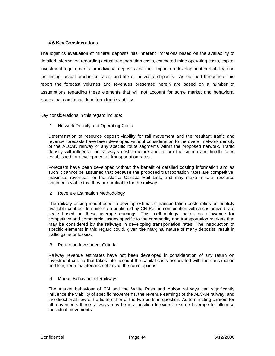#### <span id="page-43-0"></span>**4.6 Key Considerations**

The logistics evaluation of mineral deposits has inherent limitations based on the availability of detailed information regarding actual transportation costs, estimated mine operating costs, capital investment requirements for individual deposits and their impact on development probability, and the timing, actual production rates, and life of individual deposits. As outlined throughout this report the forecast volumes and revenues presented herein are based on a number of assumptions regarding these elements that will not account for some market and behavioral issues that can impact long term traffic viability.

Key considerations in this regard include:

1. Network Density and Operating Costs

Determination of resource deposit viability for rail movement and the resultant traffic and revenue forecasts have been developed without consideration to the overall network density of the ALCAN railway or any specific route segments within the proposed network. Traffic density will influence the railway's cost structure and in turn the criteria and hurdle rates established for development of transportation rates.

Forecasts have been developed without the benefit of detailed costing information and as such it cannot be assumed that because the proposed transportation rates are competitive, maximize revenues for the Alaska Canada Rail Link, and may make mineral resource shipments viable that they are profitable for the railway.

2. Revenue Estimation Methodology

specific elements in this regard could, given the marginal nature of many deposits, result in traffic gains or losses. The railway pricing model used to develop estimated transportation costs relies on publicly available cent per ton-mile data published by CN Rail in combination with a customized rate scale based on these average earnings. This methodology makes no allowance for competitive and commercial issues specific to the commodity and transportation markets that may be considered by the railways in developing transportation rates. The introduction of

3. Return on Investment Criteria

Railway revenue estimates have not been developed in consideration of any return on investment criteria that takes into account the capital costs associated with the construction and long-term maintenance of any of the route options.

4. Market Behaviour of Railways

The market behaviour of CN and the White Pass and Yukon railways can significantly influence the viability of specific movements, the revenue earnings of the ALCAN railway, and the directional flow of traffic to either of the two ports in question. As terminating carriers for all movements these railways may be in a position to exercise some leverage to influence individual movements.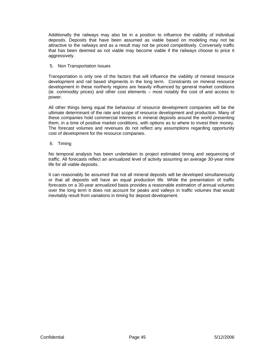Additionally the railways may also be in a position to influence the viability of individual deposits. Deposits that have been assumed as viable based on modeling may not be attractive to the railways and as a result may not be priced competitively. Conversely traffic that has been deemed as not viable may become viable if the railways choose to price it aggressively.

#### 5. Non Transportation Issues

Transportation is only one of the factors that will influence the viability of mineral resource development and rail based shipments in the long term. Constraints on mineral resource development in these northerly regions are heavily influenced by general market conditions (ie. commodity prices) and other cost elements – most notably the cost of and access to power.

All other things being equal the behaviour of resource development companies will be the ultimate determinant of the rate and scope of resource development and production. Many of these companies hold commercial interests in mineral deposits around the world presenting them, in a time of positive market conditions, with options as to where to invest their money. The forecast volumes and revenues do not reflect any assumptions regarding opportunity cost of development for the resource companies.

6. Timing

No temporal analysis has been undertaken to project estimated timing and sequencing of traffic. All forecasts reflect an annualized level of activity assuming an average 30-year mine life for all viable deposits.

or that all deposits will have an equal production life. While the presentation of traffic forecasts on a 30-year annualized basis provides a reasonable estimation of annual volumes over the long term it does not account for peaks and valleys in traffic volumes that would inevitably result from variations in timing for deposit development. It can reasonably be assumed that not all mineral deposits will be developed simultaneously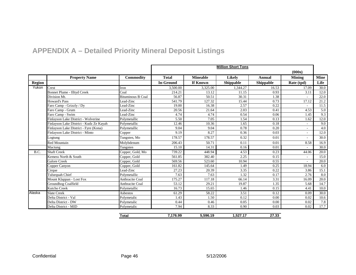# **APPENDIX A – Detailed Priority Mineral Deposit Listings**

|               |                                         |                          |                  |                 | <b>Million Short Tons</b> |           |               |             |
|---------------|-----------------------------------------|--------------------------|------------------|-----------------|---------------------------|-----------|---------------|-------------|
|               |                                         |                          |                  |                 |                           |           | (000s)        |             |
|               | <b>Property Name</b>                    | Commodity                | <b>Total</b>     | <b>Mineable</b> | Likely                    | Annual    | <b>Mining</b> | <b>Mine</b> |
| <b>Region</b> |                                         |                          | <b>In-Ground</b> | <b>If Known</b> | <b>Shippable</b>          | Shippable | Rate (tpd)    | Life        |
| Yukon         | Crest                                   | Iron                     | 3.500.00         | 3,325.00        | 1.344.27                  | 16.53     | 17.09         | 30.0        |
|               | <b>Bonnet Plume - Illtyd Creek</b>      | Coal                     | 214.21           | 13.12           | 11.15                     | 0.93      | 3.11          | 12.0        |
|               | Division Mt.                            | <b>Bituminous B Coal</b> | 56.87            | 50.51           | 30.31                     | 1.38      |               | 22.0        |
|               | <b>Howard's Pass</b>                    | Lead-Zinc                | 541.79           | 127.32          | 15.44                     | 0.73      | 17.12         | 21.2        |
|               | Faro Camp - Grizzly / Dy                | Lead-Zinc                | 19.00            | 16.38           | 2.57                      | 0.22      |               | 11.5        |
|               | Faro Camp - Grum                        | Lead-Zinc                | 20.56            | 21.64           | 2.03                      | 0.41      | 4.53          | 5.0         |
|               | Faro Camp - Swim                        | Lead-Zinc                | 4.74             | 4.74            | 0.54                      | 0.06      | 1.45          | 9.3         |
|               | Finlayson Lake District - Wolverine     | Polymetallic             | 5.50             | 7.05            | 1.54                      | 0.13      | 1.62          | 12.0        |
|               | Finlayson Lake District - Kudz Ze Kayah | Polymetallic             | 12.46            | 10.36           | 1.65                      | 0.18      |               | 9.0         |
|               | Finlayson Lake District - Fyre (Kona)   | Polymetallic             | 9.04             | 9.04            | 0.78                      | 0.20      |               | 4.0         |
|               | Finlayson Lake District - Minto         | Copper                   | 9.19             | 8.27            | 0.36                      | 0.03      |               | 12.0        |
|               | Logtung                                 | Tungsten, Mo             | 178.57           | 178.57          | 0.32                      | 0.01      |               | 30.0        |
|               | <b>Red Mountain</b>                     | Molybdenum               | 206.43           | 50.71           | 0.11                      | 0.01      | 8.58          | 16.9        |
|               | Mactung                                 | Tungsten                 | 15.10            | 14.31           | 0.16                      | 0.01      |               | 30.0        |
| B.C.          | <b>Shaft Creek</b>                      | Copper, Gold, Mo         | 739.22           | 448.94          | 4.53                      | 0.23      | 44.06         | 20.0        |
|               | Kemess North & South                    | Copper, Gold             | 561.85           | 382.40          | 2.25                      | 0.15      |               | 15.0        |
|               | <b>Galore Creek</b>                     | Copper, Gold             | 569.56           | 523.60          | 10.94                     | 0.55      | $\sim$        | 20.0        |
|               | Copper Canyon                           | Copper, Gold             | 161.82           | 145.64          | 1.49                      | 0.25      | 18.94         | 6.0         |
|               | Cirque                                  | Lead-Zinc                | 27.23            | 20.39           | 3.35                      | 0.22      | 3.86          | 15.1        |
|               | <b>Tulsequah Chief</b>                  | Polymetallic             | 7.63             | 7.63            | 1.32                      | 0.17      | 2.76          | 8.0         |
|               | Mount Klappan - Lost Fox                | <b>Anthracite Coal</b>   | 175.27           | 117.18          | 66.14                     | 3.31      | 16.09         | 20.0        |
|               | <b>Groundhog Coalfield</b>              | <b>Anthracite Coal</b>   | 53.12            | 29.21           | 19.87                     | 1.35      | 5.68          | 14.7        |
|               | Kutcho Creek                            | Polymetallic             | 16.73            | 15.65           | 1.46                      | 0.15      | 4.41          | 10.0        |
| Alaska        | <b>Slate Creek</b>                      | Asbestos                 | 61.29            | 58.22           | 3.51                      | 0.12      | 0.09          | 30.0        |
|               | Delta District - Val                    | Polymetalic              | 1.43             | 1.50            | 0.12                      | 0.00      | 0.02          | 10.6        |
|               | Delta District - DW                     | Polymetalic              | 0.44             | 0.46            | 0.05                      | 0.00      | 0.02          | 7.8         |
|               | Delta District - MID                    | Polymetalic              | 7.94             | 8.33            | 0.90                      | 0.03      | 0.02          | 17.7        |

<span id="page-45-0"></span>

| Total | 7,176.99 | 5.596.19 | 1,527.17 | 27.33 |
|-------|----------|----------|----------|-------|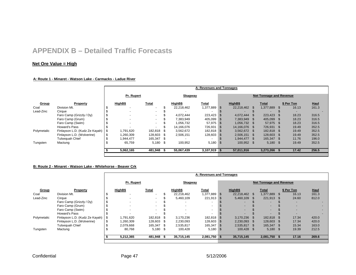# **APPENDIX B – Detailed Traffic Forecasts**

# **Net Ore Value = High**

#### **A: Route 1 - Minaret - Watson Lake - Carmacks - Ladue River**

|             |                                |                         |            |                          |       |            | A: Revenues and Tonnages |            |               |                                |            |             |  |
|-------------|--------------------------------|-------------------------|------------|--------------------------|-------|------------|--------------------------|------------|---------------|--------------------------------|------------|-------------|--|
|             |                                |                         | Pr. Rupert |                          |       | Skagway    |                          |            |               | <b>Net Tonnage and Revenue</b> |            |             |  |
| Group       | Property                       |                         | HighB\$    | Total                    |       | HighB\$    | Total                    |            | HighB\$       | Total                          | \$ Per Ton | <b>Haul</b> |  |
| Coal        | Division Mt.                   |                         |            | $\overline{\phantom{a}}$ |       | 22,218,462 | 1,377,889                | <b>S</b>   | 22,218,462 \$ | 1,377,889                      | 16.13      | 161.3       |  |
| Lead-Zinc   | Cirque                         |                         |            | $\sim$                   |       |            |                          |            |               |                                |            |             |  |
|             | Faro Camp (Grizzly / Dy)       |                         |            | $\sim$                   |       | 4,072,444  | 223,423                  |            | 4.072.444 \$  | 223,423                        | 18.23      | 316.5       |  |
|             | Faro Camp (Grum)               |                         |            | $\sim$                   |       | 7,383,949  | 405,099                  |            | 7,383,949 \$  | 405,099 \$                     | 18.23      | 316.5       |  |
|             | Faro Camp (Swim)               |                         |            | $\sim$                   |       | 1,056,732  | 57,975 \$                |            | 1,056,732 \$  | 57,975 \$                      | 18.23      | 316.5       |  |
|             | Howard's Pass                  |                         |            | $\overline{a}$           |       | 14.166.076 | 726,931                  | - \$       | 14.166.076 \$ | 726,931 \$                     | 19.49      | 352.5       |  |
| Polymetalic | Finlayson L.D. (Kudz Ze Kayah) |                         | 1,791,620  | 182,818                  | . እ   | 3,562,672  | 182,818 \$               |            | 3,562,672 \$  | 182,818 \$                     | 19.49      | 352.5       |  |
|             | Finlayson L.D. (Wolverine)     |                         | 1,260,309  | 128,603                  | - \$  | 2,506,151  | 128,603                  |            | 2,506,151 \$  | 128,603 \$                     | 19.49      | 352.5       |  |
|             | Tulsequah Chief                |                         | 1,944,477  | 165,347                  | - \$  |            |                          |            | 1,944,477 \$  | 165,347 \$                     | 11.76      | 196.0       |  |
| Tungsten    | Mactung                        | 65.759<br>5,180<br>- \$ |            | 100,952                  | 5,180 | - \$       | 100,952 \$               | $5,180$ \$ | 19.49         | 352.5                          |            |             |  |
|             |                                |                         | 5,062,165  | 481,948                  | - 5   | 55,067,439 | $3,107,919$ \$           |            | 57,011,916    | 3,273,266                      | 17.42      | 256.5       |  |
|             |                                |                         |            |                          |       |            |                          |            |               |                                |            |             |  |

#### **B: Route 2 - Minaret - Watson Lake - Whitehorse - Beaver Crk**

|             |                                |     |                          |                          |      |                          | A: Revenues and Tonnages |      |                          |                                |                          |             |
|-------------|--------------------------------|-----|--------------------------|--------------------------|------|--------------------------|--------------------------|------|--------------------------|--------------------------------|--------------------------|-------------|
|             |                                |     | Pr. Rupert               |                          |      | Skagway                  |                          |      |                          | <b>Net Tonnage and Revenue</b> |                          |             |
| Group       | Property                       |     | HighB\$                  | Total                    |      | HighB\$                  | <u>Total</u>             |      | HighB\$                  | Total                          | \$ Per Ton               | <b>Haul</b> |
| Coal        | Division Mt.                   | S   | $\overline{\phantom{0}}$ | $\overline{\phantom{0}}$ | ъ.   | 22,218,462               | 1,377,889 \$             |      | 22,218,462 \$            | 1,377,889                      | 16.13                    | 161.3       |
| Lead-Zinc   | Cirque                         | ъ   |                          | $\sim$                   |      | 5,460,109                | 221,913 \$               |      | 5,460,109 \$             | 221,913                        | 24.60                    | 812.0       |
|             | Faro Camp (Grizzly / Dy)       | \$. |                          | $\sim$                   |      |                          |                          |      | $\overline{\phantom{0}}$ | $\sim$                         | $\overline{a}$           |             |
|             | Faro Camp (Grum)               |     |                          | $\sim$                   |      | $\overline{\phantom{a}}$ | $\sim$                   |      | $\overline{\phantom{0}}$ |                                | $\overline{\phantom{a}}$ |             |
|             | Faro Camp (Swim)               |     |                          | $\sim$                   |      | $\overline{a}$           | $\sim$                   |      | $\sim$                   | $\overline{a}$                 | $\overline{a}$           | $\sim$      |
|             | Howard's Pass                  |     |                          |                          |      |                          |                          |      |                          |                                |                          |             |
| Polymetalic | Finlayson L.D. (Kudz Ze Kayah) | -S  | 1,791,620                | 182,818                  | -S   | 3,170,236                | 182,818                  | - \$ | 3,170,236 \$             | 182,818                        | 17.34                    | 420.0       |
|             | Finlayson L.D. (Wolverine)     | \$  | 1,260,309                | 128,603                  | - \$ | 2,230,093                | 128,603 \$               |      | 2,230,093 \$             | 128,603 \$                     | 17.34                    | 420.0       |
|             | Tulsequah Chief                |     | 2,079,668                | 165,347                  | - \$ | 2,535,817                | 165,347                  | - 5  | 2,535,817 \$             | 165,347 \$                     | 15.34                    | 163.0       |
| Tungsten    | Mactung                        |     | 80,768                   | $5,180$ \$               |      | 100,428                  | $5,180$ \$               |      | 100,428 \$               | $5,180$ \$                     | 19.39                    | 212.5       |
|             |                                |     | 5,212,365                | 481,948                  | . ა  | 35,715,145               | 2,081,750 \$             |      | 35,715,145               | 2,081,750                      | 17.16                    | 269.6       |
|             |                                |     |                          |                          |      |                          |                          |      |                          |                                |                          |             |

<span id="page-46-0"></span>Confidential Page 47 5/12/2006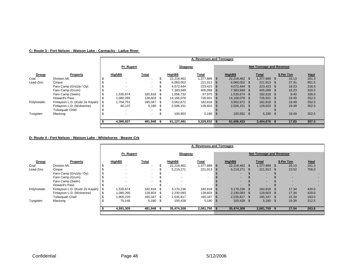#### **C: Route 3 - Fort Nelson - Watson Lake - Carmacks - Ladue River**

|             |                                |                                    |            |                          |            |                | A: Revenues and Tonnages |            |                |                                |       |            |             |
|-------------|--------------------------------|------------------------------------|------------|--------------------------|------------|----------------|--------------------------|------------|----------------|--------------------------------|-------|------------|-------------|
|             |                                |                                    | Pr. Rupert |                          |            | Skagway        |                          |            |                | <b>Net Tonnage and Revenue</b> |       |            |             |
| Group       | Property                       |                                    | HighB\$    | Total                    |            | HighB\$        | Total                    |            | HighB\$        | Total                          |       | \$ Per Ton | <b>Haul</b> |
| Coal        | Division Mt.                   |                                    |            | $\overline{\phantom{a}}$ |            | 22.218.462     | 1,377,889                | <b>S</b>   | 22.218.462 \$  | 1.377.889 \$                   |       | 16.13      | 161.3       |
| Lead-Zinc   | Cirque                         |                                    |            | $\sim$                   |            | 6,060,052      | 221,913                  | ∣\$        | $6.060.052$ \$ | 221,913 \$                     |       | 27.31      | 951.5       |
|             | Faro Camp (Grizzly / Dy)       |                                    |            | $\sim$                   |            | 4.072.444      | 223,423                  | ∣\$        | 4.072.444 \$   | 223,423 \$                     |       | 18.23      | 316.5       |
|             | Faro Camp (Grum)               |                                    |            | $\overline{\phantom{a}}$ |            | 7.383.949      | 405,099                  |            | 7.383.949 \$   | 405.099 \$                     |       | 18.23      | 316.5       |
|             | Faro Camp (Swim)               |                                    | 1,535,674  | 182.818                  |            | 1.056.732      | 57,975                   |            | 1.535.674 \$   | 182,818 \$                     |       | 8.40       | 336.0       |
|             | Howard's Pass                  |                                    | 1.080.265  | 128.603                  |            | 14,166,076     | 726,931                  |            | 14.166.076 \$  | 726,931 \$                     |       | 19.49      | 352.5       |
| Polymetalic | Finlayson L.D. (Kudz Ze Kayah) |                                    | 1,704,751  | 165,347                  |            | 3,562,672      | 182,818                  |            | 3,562,672 \$   | 182,818 \$                     |       | 19.49      | 352.5       |
|             | Finlayson L.D. (Wolverine)     |                                    | 60,137     | 5,180                    | - \$       | 2,506,151      | 128,603                  |            | 2,506,151 \$   | 128,603 \$                     |       | 19.49      | 352.5       |
|             | Tulsequah Chief                |                                    |            | $\overline{\phantom{a}}$ |            |                |                          |            |                | $\overline{\phantom{0}}$       |       |            |             |
| Tungsten    | Mactung                        | $\sim$<br>$\overline{\phantom{0}}$ |            |                          | 100,952    | 5,180          | <b>S</b>                 | 100,952 \$ | 5,180          | - \$                           | 19.49 | 352.5      |             |
|             |                                | 4,380,827<br>481,948 \$            |            |                          | 61,127,491 | $3,329,832$ \$ |                          | 61,606,433 | 3,454,676      | - 35                           | 17.83 | 307.3      |             |
|             |                                |                                    |            |                          |            |                |                          |            |                |                                |       |            |             |

#### **D: Route 4 - Fort Nelson - Watson Lake - Whitehorse - Beaver Crk**

|             |                                |                             |            |                          |            |              | A: Revenues and Tonnages |            |                          |                                |       |            |                          |
|-------------|--------------------------------|-----------------------------|------------|--------------------------|------------|--------------|--------------------------|------------|--------------------------|--------------------------------|-------|------------|--------------------------|
|             |                                |                             | Pr. Rupert |                          |            | Skagway      |                          |            |                          | <b>Net Tonnage and Revenue</b> |       |            |                          |
| Group       | Property                       |                             | HighB\$    | <u>Total</u>             |            | HighB\$      | <u>Total</u>             |            | HighB\$                  | <u>Total</u>                   |       | \$ Per Ton | <b>Haul</b>              |
| Coal        | Division Mt.                   |                             |            |                          | 55         | 22,218,462   | 1,377,889                | <b>S</b>   | 22,218,462 \$            | 1,377,889 \$                   |       | 16.13      | 161.3                    |
| Lead-Zinc   | Cirque                         |                             |            | $\overline{\phantom{a}}$ |            | 5,219,271    | 221,913 \$               |            | 5,219,271 \$             | 221,913 \$                     |       | 23.52      | 756.0                    |
|             | Faro Camp (Grizzly / Dy)       |                             |            | $\sim$                   |            |              |                          |            |                          | -                              |       |            |                          |
|             | Faro Camp (Grum)               |                             |            | $\sim$                   |            |              | $\overline{a}$           |            | -                        | ۰.                             |       |            | $\sim$                   |
|             | Faro Camp (Swim)               |                             |            | $\sim$                   |            |              | $\overline{\phantom{a}}$ |            | $\overline{\phantom{a}}$ | ۰.                             |       |            | $\overline{\phantom{0}}$ |
|             | Howard's Pass                  |                             |            | $\overline{\phantom{0}}$ |            |              |                          |            |                          | $\overline{\phantom{0}}$       |       |            | $\overline{\phantom{0}}$ |
| Polymetalic | Finlayson L.D. (Kudz Ze Kayah) |                             | 1,535,674  | 182,818                  | - 35       | 3,170,236    | 182,818 \$               |            | 3,170,236 \$             | 182,818                        |       | 17.34      | 420.0                    |
|             | Finlayson L.D. (Wolverine)     | ্য                          | 1,080,265  | 128,603                  | - \$       | 2,230,093    | 128,603                  | S          | 2,230,093 \$             | 128,603 \$                     |       | 17.34      | 420.0                    |
|             | <b>Tulsequah Chief</b>         |                             | 1,900,220  | 165,347                  | - \$       | 2,535,817    | 165,347                  | <b>S</b>   | 2,535,817 \$             | 165,347 \$                     |       | 15.34      | 163.0                    |
| Tungsten    | Mactung                        | 75.146<br>$5,180$ \$        |            | 100.428                  | $5,180$ \$ |              | 100.428 \$               | $5,180$ \$ |                          | 19.39                          | 212.5 |            |                          |
|             |                                | 4,591,305<br>481,948<br>- S |            |                          | 35,474,308 | 2,081,750 \$ |                          | 35,474,308 | 2,081,750                | - 35                           | 17.04 | 263.6      |                          |
|             |                                |                             |            |                          |            |              |                          |            |                          |                                |       |            |                          |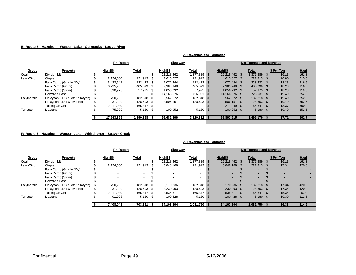|  |  |  | E: Route 5 - Hazelton - Watson Lake - Carmacks - Ladue River |
|--|--|--|--------------------------------------------------------------|
|  |  |  |                                                              |

|             |                                |                         |                                 |         |         |                | A: Revenues and Tonnages |            |               |                                |       |            |             |
|-------------|--------------------------------|-------------------------|---------------------------------|---------|---------|----------------|--------------------------|------------|---------------|--------------------------------|-------|------------|-------------|
|             |                                |                         | Pr. Rupert                      |         |         | <u>Skagway</u> |                          |            |               | <b>Net Tonnage and Revenue</b> |       |            |             |
| Group       | Property                       |                         | HighB\$                         | Total   |         | HighB\$        | Total                    |            | HighB\$       | Total                          |       | \$ Per Ton | <b>Haul</b> |
| Coal        | Division Mt.                   |                         |                                 |         |         | 22,218,462     | 1,377,889                | - S        | 22.218.462 \$ | 1.377.889                      | -SS   | 16.13      | 161.3       |
| Lead-Zinc   | Cirque                         |                         | 2,124,530                       | 221,913 | - SS    | 4,615,027      | 221,913 \$               |            | 4,615,027 \$  | 221,913 \$                     |       | 20.80      | 615.5       |
|             | Faro Camp (Grizzly / Dy)       |                         | 3,433,642                       | 223.423 | - \$    | 4.072.444      | 223,423                  | S          | 4.072.444 \$  | 223.423 \$                     |       | 18.23      | 316.5       |
|             | Faro Camp (Grum)               |                         | 6.225.705                       | 405.099 | - \$    | 7,383,949      | 405,099                  | <b>S</b>   | 7,383,949 \$  | 405.099 \$                     |       | 18.23      | 316.5       |
|             | Faro Camp (Swim)               |                         | 890,973                         | 57,975  | - \$    | 1,056,732      | 57,975                   | <b>S</b>   | 1.056.732 \$  | 57.975 \$                      |       | 18.23      | 316.5       |
|             | Howard's Pass                  |                         |                                 |         |         | 14.166.076     | 726,931                  | - S        | 14.166.076 \$ | 726.931 \$                     |       | 19.49      | 352.5       |
| Polymetalic | Finlayson L.D. (Kudz Ze Kayah) |                         | 1,750,252                       | 182,818 |         | 3,562,672      | 182,818 \$               |            | 3,562,672 \$  | 182,818 \$                     |       | 19.49      | 352.5       |
|             | Finlayson L.D. (Wolverine)     | ა                       | 1,231,209                       | 128.603 | - \$    | 2,506,151      | 128,603                  | <b>S</b>   | 2,506,151 \$  | 128,603 \$                     |       | 19.49      | 352.5       |
|             | Tulsequah Chief                |                         | 2.211.049                       | 165,347 | - \$    |                | -                        |            | 2.211.049 \$  | 165.347 \$                     |       | 13.37      | 690.0       |
| Tungsten    | Mactung                        | 75,999<br>5,180<br>- \$ |                                 |         | 100,952 | 5,180          | - \$                     | 100,952 \$ | $5,180$ \$    |                                | 19.49 | 352.5      |             |
|             |                                |                         | 17,943,359<br>1,390,358<br>- 35 |         |         | 59,682,466     | $3,329,832$ \$           |            | 61,893,515    | 3,495,179                      | - 35  | 17.71      | 302.7       |
|             |                                |                         |                                 |         |         |                |                          |            |               |                                |       |            |             |

#### **F: Route 6 - Hazelton - Watson Lake - Whitehorse - Beaver Creek**

|              |                                |                      |            |                          |       |            | A: Revenues and Tonnages |            |               |                                |            |             |
|--------------|--------------------------------|----------------------|------------|--------------------------|-------|------------|--------------------------|------------|---------------|--------------------------------|------------|-------------|
|              |                                |                      | Pr. Rupert |                          |       | Skagway    |                          |            |               | <b>Net Tonnage and Revenue</b> |            |             |
| <b>Group</b> | Property                       |                      | HighB\$    | <b>Total</b>             |       | HighB\$    | <u>Total</u>             |            | HighB\$       | <b>Total</b>                   | \$ Per Ton | <b>Haul</b> |
| Coal         | Division Mt.                   |                      |            |                          | \$    | 22,218,462 | 1,377,889 \$             |            | 22,218,462 \$ | 1,377,889 \$                   | 16.13      | 161.3       |
| Lead-Zinc    | Cirque                         |                      | 2,124,530  | 221,913                  | S     | 3,848,168  | 221,913 \$               |            | 3,848,168 \$  | 221,913 \$                     | 17.34      | 420.0       |
|              | Faro Camp (Grizzly / Dy)       |                      |            | $\overline{\phantom{a}}$ |       |            |                          |            |               | $\overline{\phantom{0}}$       |            | $\sim$      |
|              | Faro Camp (Grum)               |                      |            | $\sim$                   |       |            | $\overline{\phantom{0}}$ |            |               | $\overline{\phantom{0}}$       |            | $\sim$      |
|              | Faro Camp (Swim)               |                      |            | $\sim$                   |       |            | $\overline{\phantom{0}}$ |            | $\sim$        | $\overline{\phantom{a}}$       |            | $\sim$      |
|              | Howard's Pass                  |                      |            | $\overline{\phantom{a}}$ |       |            |                          |            |               |                                |            | $\sim$      |
| Polymetalic  | Finlayson L.D. (Kudz Ze Kayah) |                      | 1,750,252  | 182,818                  | - \$  | 3,170,236  | 182,818                  | - \$       | 3.170.236 \$  | 182,818                        | 17.34      | 420.0       |
|              | Finlayson L.D. (Wolverine)     |                      | 1,231,209  | 128,603                  | -S    | 2,230,093  | 128,603 \$               |            | 2,230,093 \$  | 128,603 \$                     | 17.34      | 420.0       |
|              | <b>Tulsequah Chief</b>         |                      | 2.211.049  | 165,347                  | -S    | 2,535,817  | 165,347                  | <b>S</b>   | 2,535,817 \$  | 165,347 \$                     | 15.34      | 0.0         |
| Tungsten     | Mactung                        | $5,180$ \$<br>91,008 |            | 100.428                  | 5,180 | <b>S</b>   | 100.428 \$               | $5,180$ \$ | 19.39         | 212.5                          |            |             |
|              |                                |                      |            |                          |       |            |                          |            |               |                                |            |             |
|              |                                |                      | 7,408,048  | 703,861                  |       | 34,103,204 | 2,081,750 \$             |            | 34,103,204    | 2,081,750                      | 16.38      | 214.9       |
|              |                                |                      |            |                          |       |            |                          |            |               |                                |            |             |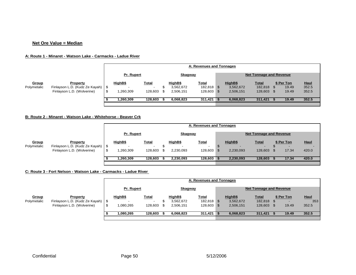#### **Net Ore Value = Median**

#### **A: Route 1 - Minaret - Watson Lake - Carmacks - Ladue River**

|                      |                                                                                      |    |                      |                                                     |          |                                   | A: Revenues and Tonnages                 |                                   |                                    |                              |                               |
|----------------------|--------------------------------------------------------------------------------------|----|----------------------|-----------------------------------------------------|----------|-----------------------------------|------------------------------------------|-----------------------------------|------------------------------------|------------------------------|-------------------------------|
|                      |                                                                                      |    | Pr. Rupert           |                                                     |          | Skagway                           |                                          |                                   | <b>Net Tonnage and Revenue</b>     |                              |                               |
| Group<br>Polymetalic | <b>Property</b><br>Finlayson L.D. (Kudz Ze Kayah)   \$<br>Finlayson L.D. (Wolverine) | -S | HighB\$<br>1,260,309 | <u>Total</u><br>$\overline{\phantom{0}}$<br>128,603 | Œ<br>\$. | HighB\$<br>3,562,672<br>2,506,151 | <u>Total</u><br>182,818 \$<br>128,603 \$ | HighB\$<br>3,562,672<br>2,506,151 | <u>Total</u><br>182,818<br>128,603 | \$ Per Ton<br>19.49<br>19.49 | <b>Haul</b><br>352.5<br>352.5 |
|                      |                                                                                      |    | 1,260,309            | 128,603                                             |          | 6,068,823                         | $311,421$ \$                             | 6,068,823                         | 311,421                            | 19.49                        | 352.5                         |

#### **B: Rout e 2 - Minaret - Watson Lake - Whitehorse - Beaver Crk**

|             |                                                                   |      |            |                                     |  |                                | A: Revenues and Tonnages |                |           |              |            |             |
|-------------|-------------------------------------------------------------------|------|------------|-------------------------------------|--|--------------------------------|--------------------------|----------------|-----------|--------------|------------|-------------|
|             |                                                                   |      | Pr. Rupert | <b>Skagway</b>                      |  | <b>Net Tonnage and Revenue</b> |                          |                |           |              |            |             |
| Group       | <b>Property</b>                                                   |      | HighB\$    | <u>Total</u>                        |  | HighB\$                        | <u>Total</u>             |                | HighB\$   | <u>Total</u> | \$ Per Ton | <b>Haul</b> |
| Polymetalic | Finlayson L.D. (Kudz Ze Kayah)   \$<br>Finlayson L.D. (Wolverine) | . \$ | ,260,309   | $\overline{\phantom{0}}$<br>128,603 |  | 2,230,093                      | 128,603                  | D.<br><b>S</b> | 2,230,093 | 128,603      | 17.34      | 420.0       |
|             |                                                                   |      | 1,260,309  | 128,603                             |  | 2.230.093                      | $128,603$ \$             |                | 2,230,093 | 128,603      | 17.34      | 420.0       |

#### **C: Rout e 3 - Fort Nelson - Watson Lake - Carmacks - Ladue River**

|             |                                     |                                     |              |     |           | A: Revenues and Tonnages |  |           |                                |            |             |
|-------------|-------------------------------------|-------------------------------------|--------------|-----|-----------|--------------------------|--|-----------|--------------------------------|------------|-------------|
|             |                                     | <u>Skaqway</u><br><b>Pr. Rupert</b> |              |     |           |                          |  |           | <b>Net Tonnage and Revenue</b> |            |             |
| Group       | <b>Property</b>                     | HighB\$                             | <u>Total</u> |     | HighB\$   | <b>Total</b>             |  | HighB\$   | <b>Total</b>                   | \$ Per Ton | <b>Haul</b> |
| Polymetalic | Finlayson L.D. (Kudz Ze Kayah)   \$ |                                     |              |     | 3,562,672 | 182,818 \$               |  | 3,562,672 | 182,818                        |            | 353         |
|             | Finlayson L.D. (Wolverine)          | \$<br>1,080,265                     | 128,603      | \$. | 2,506,151 | 128,603 \$               |  | 2,506,151 | 128,603                        | 19.49      | 352.5       |
|             |                                     | 1.080.265                           | 128,603      |     | 6,068,823 | $311,421$ \$             |  | 6,068,823 | 311,421                        | 19.49      | 352.5       |
|             |                                     |                                     |              |     |           |                          |  |           |                                |            |             |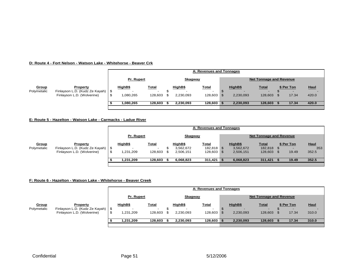#### **D: Route 4 - Fort Nelson - Watson Lake - Whitehorse - Beaver Crk**

|                      |                                                        |            |                                          |    |           | A: Revenues and Tonnages                 |                                     |                                          |            |             |
|----------------------|--------------------------------------------------------|------------|------------------------------------------|----|-----------|------------------------------------------|-------------------------------------|------------------------------------------|------------|-------------|
|                      |                                                        | Pr. Rupert |                                          |    | Skagway   |                                          |                                     | <b>Net Tonnage and Revenue</b>           |            |             |
| Group<br>Polymetalic | <b>Property</b><br>Finlayson L.D. (Kudz Ze Kayah)   \$ | HighB\$    | <u>Total</u><br>$\overline{\phantom{0}}$ |    | HighB\$   | <u>Total</u><br>$\overline{\phantom{a}}$ | HighB\$<br>$\overline{\phantom{0}}$ | <u>Total</u><br>$\overline{\phantom{0}}$ | \$ Per Ton | <b>Haul</b> |
|                      | Finlayson L.D. (Wolverine)                             | ,080,265   | 128,603                                  | £. | 2,230,093 | 128,603                                  | 2,230,093                           | 128,603                                  | 17.34      | 420.0       |
|                      |                                                        | 1.080.265  | 128,603                                  |    | 2,230,093 | 128,603                                  | 2,230,093                           | 128,603                                  | 17.34      | 420.0       |

#### **E: Route 5 - Hazelton - Watson Lake - Carmacks - Ladue River**

|             |                                     |                   |                          |                | A: Revenues and Tonnages |           |                                |            |             |
|-------------|-------------------------------------|-------------------|--------------------------|----------------|--------------------------|-----------|--------------------------------|------------|-------------|
|             |                                     | <b>Pr. Rupert</b> |                          | <b>Skagway</b> |                          |           | <b>Net Tonnage and Revenue</b> |            |             |
| Group       | <b>Property</b>                     | HighB\$           | <b>Total</b>             | HighB\$        | <u>Total</u>             | HighB\$   | <u>Total</u>                   | \$ Per Ton | <b>Haul</b> |
| Polymetalic | Finlayson L.D. (Kudz Ze Kayah)   \$ |                   | $\overline{\phantom{a}}$ | 3,562,672      | 182,818 \$               | 3,562,672 | 182,818                        |            | 353         |
|             | Finlayson L.D. (Wolverine)          | 1,231,209         | 128,603                  | 2,506,151      | 128,603 \$               | 2,506,151 | 128,603                        | 19.49      | 352.5       |
|             |                                     | 1.231.209         | 128.603                  | 6,068,823      | $311,421$ \$             | 6,068,823 | 311,421                        | 19.49      | 352.5       |

#### **F: Route 6 - Hazelton - Watson Lake - Whitehorse - Beaver Creek**

|             |                                     |            |                          |    |           | A: Revenues and Tonnages |           |                                |            |             |
|-------------|-------------------------------------|------------|--------------------------|----|-----------|--------------------------|-----------|--------------------------------|------------|-------------|
|             |                                     | Pr. Rupert |                          |    | Skagway   |                          |           | <b>Net Tonnage and Revenue</b> |            |             |
| Group       | <b>Property</b>                     | HighB\$    | <b>Total</b>             |    | HighB\$   | <u>Total</u>             | HighB\$   | <u>Total</u>                   | \$ Per Ton | <b>Haul</b> |
| Polymetalic | Finlayson L.D. (Kudz Ze Kayah)   \$ |            | $\overline{\phantom{a}}$ |    |           |                          |           |                                |            |             |
|             | Finlayson L.D. (Wolverine)          | 231,209. ا | 128,603                  | £. | 2,230,093 | 128,603                  | 2,230,093 | 128,603                        | 17.34      | 310.0       |
|             |                                     | 1,231,209  | 128,603                  |    | 2,230,093 | 128,603                  | 2,230,093 | 128,603                        | 17.34      | 310.0       |
|             |                                     |            |                          |    |           |                          |           |                                |            |             |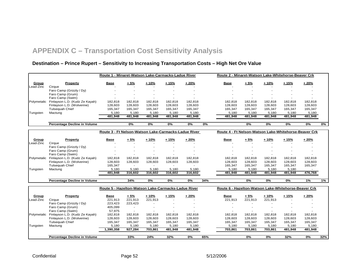# **APPENDIX C – Transportation Cost Sensitivity Analysis**

# **Destination – Prince Rupert – Sensitivity to Increasing Transportation Costs – High Net Ore Value**

<span id="page-51-0"></span>

| $+5%$<br>$+10%$<br>$+15%$<br>$+20%$<br>$+5%$<br>Property<br><b>Base</b><br>Group<br>Base                                   | $+10%$<br>$+15%$   |             |
|----------------------------------------------------------------------------------------------------------------------------|--------------------|-------------|
|                                                                                                                            |                    | $+20%$      |
| Lead-Zinc<br>Cirque                                                                                                        |                    |             |
| Faro Camp (Grizzly / Dy)                                                                                                   |                    |             |
| Faro Camp (Grum)                                                                                                           |                    |             |
| Faro Camp (Swim)                                                                                                           |                    |             |
| Finlayson L.D. (Kudz Ze Kayah)<br>182,818<br>182,818<br>182,818<br>182,818<br>182,818<br>182,818<br>182,818<br>Polymetalic | 182,818<br>182,818 | 182,818     |
| Finlayson L.D. (Wolverine)<br>128,603<br>128,603<br>128,603<br>128,603<br>128,603<br>128,603<br>128,603                    | 128,603<br>128,603 | 128,603     |
| <b>Tulsequah Chief</b><br>165,347<br>165,347<br>165,347<br>165,347<br>165,347<br>165,347<br>165,347                        | 165,347<br>165,347 | 165,347     |
| 5,180<br>5,180<br>Mactung<br>5,180<br>5,180<br>5,180<br>5,180<br>5,180<br>Tungsten                                         | 5,180<br>5,180     | 5,180       |
| 481,948<br>481.948<br>481,948<br>481,948<br>481,948<br>481,948<br>481,948                                                  | 481,948<br>481,948 | 481,948     |
| 0%<br>0%<br>0%<br>0%<br>0%<br>0%<br>Percentage Decline in Volume                                                           | 0%<br>0%           | 0%<br>$0\%$ |
| Route 3 - Ft Nelson-Watson Lake-Carmacks-Ladue River<br>Route 4 - Ft Nelson-Watson Lake-Whitehorse-Beaver Crk              |                    |             |
|                                                                                                                            |                    |             |
| <b>Property</b><br>$+5%$<br>$+10%$<br>$+15%$<br>$+20%$<br>$+5%$<br>Group<br><b>Base</b><br>Base                            | $+10%$<br>$+15%$   | $+20%$      |
| Lead-Zinc<br>Cirque                                                                                                        |                    |             |
| Faro Camp (Grizzly / Dy)                                                                                                   |                    |             |
| Faro Camp (Grum)                                                                                                           |                    |             |
| Faro Camp (Swim)                                                                                                           |                    |             |
| Finlayson L.D. (Kudz Ze Kayah)<br>182,818<br>Polymetalic<br>182,818<br>182,818<br>182,818<br>182,818<br>182,818<br>182,818 | 182,818<br>182,818 | 182,818     |
| Finlayson L.D. (Wolverine)<br>128,603<br>128,603<br>128,603<br>128,603<br>128,603<br>128,603<br>128,603                    | 128,603<br>128,603 | 128,603     |
| <b>Tulsequah Chief</b><br>165,347<br>165,347<br>165,347<br>$\sim$                                                          | 165,347<br>165,347 | 165,347     |
| 5.180<br>5,180<br>5,180<br>5,180<br>5,180<br>Tungsten<br>Mactung<br>5,180<br>5.180                                         | 5.180<br>5,180     |             |
| 481,948<br>316,602<br>316,602<br>316,602<br>316,602<br>481,948<br>481,948                                                  | 481,948<br>481,948 | 476,768     |
| 34%<br>0%<br>0%<br>$0\%$<br>34%<br>$0\%$<br>Percentage Decline in Volume                                                   | 0%<br>0%           | 1%<br>1%    |
|                                                                                                                            |                    |             |
| Route 6 - Hazelton-Watson Lake-Whitehorse-Beaver Crk<br>Route 5 - Hazelton-Watson Lake-Carmacks-Ladue River                |                    |             |
| $+5%$<br>$+10%$<br>$+15%$<br>$+20%$<br>$+5%$<br>Property<br>Group<br>Base<br>Base                                          | $+10%$<br>$+15%$   | $+20%$      |
| 221,913<br>221,913<br>221,913<br>221,913<br>221,913<br>Lead-Zinc<br>Cirque                                                 | 221,913            |             |
| Faro Camp (Grizzly / Dy)<br>223,423<br>223,423                                                                             |                    |             |
| Faro Camp (Grum)<br>405,099                                                                                                |                    |             |
| Faro Camp (Swim)<br>57,975                                                                                                 |                    |             |
| Finlayson L.D. (Kudz Ze Kayah)<br>182,818<br>Polymetalic<br>182,818<br>182,818<br>182,818<br>182,818<br>182,818<br>182,818 | 182,818<br>182,818 | 182,818     |
| Finlayson L.D. (Wolverine)<br>128,603<br>128,603<br>128,603<br>128,603<br>128,603<br>128,603<br>128,603                    | 128,603<br>128,603 | 128,603     |
| <b>Tulsequah Chief</b><br>165,347<br>165,347<br>165,347<br>165,347<br>165,347<br>165,347<br>165,347                        | 165,347<br>165,347 | 165,347     |
| 5,180<br>5,180<br>5,180<br>5,180<br>5,180<br>Tungsten<br>Mactung<br>5,180<br>5,180                                         | 5,180<br>5,180     | 5,180       |
| 1,390,358<br>927,284<br>703,861<br>481,948<br>481,948<br>703,861<br>703,861                                                | 703,861<br>481,948 | 481,948     |
| 32%<br><b>Percentage Decline in Volume</b><br>33%<br>24%<br>$\overline{0\%}$<br>65%<br>$0\%$                               | 0%<br>32%          | 0%<br>32%   |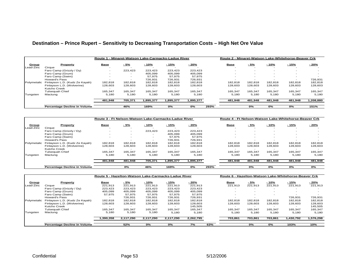#### **Destination – Prince Rupert – Sensitivity to Decreasing Transportation Costs – High Net Ore Value**

|             |                                | Route 1 - Minaret-Watson Lake-Carmacks-Ladue River |                          |           |           |           |      | Route 2 - Minaret-Watson Lake-Whitehorse-Beaver Crk |         |         |         |           |
|-------------|--------------------------------|----------------------------------------------------|--------------------------|-----------|-----------|-----------|------|-----------------------------------------------------|---------|---------|---------|-----------|
| Group       | Property                       | Base                                               | $-5%$                    | $-10%$    | $-15%$    | $-20%$    |      | <b>Base</b>                                         | - 5%    | $-10%$  | $-15%$  | $-20%$    |
| Lead-Zinc   | Cirque                         |                                                    |                          |           |           |           |      |                                                     |         |         |         |           |
|             | Faro Camp (Grizzly / Dy)       |                                                    | 223.423                  | 223.423   | 223.423   | 223,423   |      |                                                     |         |         |         |           |
|             | Faro Camp (Grum)               |                                                    |                          | 405.099   | 405.099   | 405.099   |      |                                                     |         |         |         |           |
|             | Faro Camp (Swim)               | -                                                  | $\overline{\phantom{a}}$ | 57.975    | 57.975    | 57,975    |      |                                                     |         | $\sim$  |         |           |
|             | Howard's Pass                  |                                                    |                          | 726.931   | 726.931   | 726.931   |      |                                                     |         |         |         | 726,931   |
| Polymetalic | Finlayson L.D. (Kudz Ze Kayah) | 182.818                                            | 182.818                  | 182.818   | 182.818   | 182.818   |      | 182.818                                             | 182.818 | 182.818 | 182.818 | 182,818   |
|             | Finlayson L.D. (Wolverine)     | 128,603                                            | 128,603                  | 128,603   | 128,603   | 128,603   |      | 128.603                                             | 128,603 | 128,603 | 128,603 | 128,603   |
|             | Kutcho Creek                   |                                                    |                          |           |           |           |      |                                                     |         |         |         |           |
|             | <b>Tulsequah Chief</b>         | 165,347                                            | 165.347                  | 165.347   | 165,347   | 165,347   |      | 165.347                                             | 165.347 | 165.347 | 165,347 | 165,347   |
| Tungsten    | Mactung                        | 5.180                                              | 5.180                    | 5.180     | 5.180     | 5.180     |      | 5.180                                               | 5.180   | 5.180   | 5.180   | 5.180     |
|             |                                | 481.948                                            | 705.371                  | 1.895.377 | 1.895.377 | 1,895,377 |      | 481.948                                             | 481.948 | 481.948 | 481.948 | 1.208.880 |
|             | Percentage Decline in Volume   |                                                    | 46%                      | 169%      | 0%        | 0%        | 293% |                                                     | 0%      | 0%      | 0%      | 151%      |

|             |                                | Route 3 - Ft Nelson-Watson Lake-Carmacks-Ladue River |         |         |           |           |      | Route 4 - Ft Nelson-Watson Lake-Whitehorse-Beaver Crk |         |         |                          |         |
|-------------|--------------------------------|------------------------------------------------------|---------|---------|-----------|-----------|------|-------------------------------------------------------|---------|---------|--------------------------|---------|
| Group       | Property                       | <b>Base</b>                                          | $-5%$   | $-10%$  | $-15%$    | $-20%$    |      | <b>Base</b>                                           | $-5%$   | $-10%$  | $-15%$                   | $-20%$  |
| Lead-Zinc   | Cirque                         |                                                      |         |         |           |           |      |                                                       |         |         |                          |         |
|             | Faro Camp (Grizzly / Dy)       |                                                      |         | 223.423 | 223.423   | 223.423   |      | $\sim$                                                |         | -       | $\overline{\phantom{a}}$ |         |
|             | Faro Camp (Grum)               |                                                      |         |         | 405.099   | 405.099   |      | $\sim$                                                |         |         |                          |         |
|             | Faro Camp (Swim)               | -                                                    |         |         | 57.975    | 57,975    |      | $\sim$                                                |         | $\sim$  |                          |         |
|             | Howard's Pass                  |                                                      |         |         | 726,931   | 726,931   |      |                                                       |         |         |                          |         |
| Polymetalic | Finlayson L.D. (Kudz Ze Kayah) | 182.818                                              | 182.818 | 182.818 | 182,818   | 182,818   |      | 182.818                                               | 182.818 | 182.818 | 182.818                  | 182,818 |
|             | Finlayson L.D. (Wolverine)     | 128,603                                              | 128,603 | 128,603 | 128,603   | 128,603   |      | 128,603                                               | 128,603 | 128,603 | 128,603                  | 128,603 |
|             | Kutcho Creek                   |                                                      |         |         |           |           |      | $\sim$                                                |         |         |                          |         |
|             | Tulseguah Chief                | 165.347                                              | 165.347 | 165.347 | 165.347   | 165.347   |      | 165.347                                               | 165.347 | 165.347 | 165.347                  | 165.347 |
| Tungsten    | Mactung                        | 5.180                                                | 5.180   | 5.180   | 5.180     | 5.180     |      | 5.180                                                 | 5.180   | 5.180   | 5.180                    | 5,180   |
|             |                                | 481,948                                              | 481,948 | 705,371 | 1,895,377 | 1,895,377 |      | 481,948                                               | 481,948 | 481,948 | 481,948                  | 481,948 |
|             | Percentage Decline in Volume   |                                                      | 0%      | 46%     | 169%      | 0%        | 293% |                                                       | 0%      | 0%      | 0%                       | 0%      |

|             |                                     | Route 5 - Hazelton-Watson Lake-Carmacks-Ladue River |           |           |           |           |     | Route 6 - Hazelton-Watson Lake-Whitehorse-Beaver Crk |         |         |                          |           |
|-------------|-------------------------------------|-----------------------------------------------------|-----------|-----------|-----------|-----------|-----|------------------------------------------------------|---------|---------|--------------------------|-----------|
| Group       | Property                            | <b>Base</b>                                         | $-5%$     | $-10%$    | - 15%     | $-20%$    |     | <u>Base</u>                                          | $-5%$   | - 10%   | $-15%$                   | $-20%$    |
| Lead-Zinc   | Ciraue                              | 221,913                                             | 221.913   | 221.913   | 221.913   | 221.913   |     | 221.913                                              | 221.913 | 221.913 | 221.913                  | 221.913   |
|             | Faro Camp (Grizzly / Dy)            | 223.423                                             | 223.423   | 223.423   | 223.423   | 223.423   |     |                                                      | -       |         |                          |           |
|             | Faro Camp (Grum)                    | 405,099                                             | 405,099   | 405,099   | 405,099   | 405,099   |     |                                                      |         |         |                          |           |
|             | Faro Camp (Swim)                    | 57,975                                              | 57.975    | 57,975    | 57,975    | 57,975    |     |                                                      |         |         |                          |           |
|             | <b>Howard's Pass</b>                |                                                     | 726.931   | 726.931   | 726,931   | 726.931   |     |                                                      |         |         | 726.931                  | 726.931   |
| Polymetalic | Finlayson L.D. (Kudz Ze Kayah)      | 182.818                                             | 182.818   | 182.818   | 182,818   | 182.818   |     | 182.818                                              | 182.818 | 182.818 | 182,818                  | 182.818   |
|             | Finlayson L.D. (Wolverine)          | 128,603                                             | 128.603   | 128,603   | 128.603   | 128.603   |     | 128.603                                              | 128.603 | 128,603 | 128,603                  | 128,603   |
|             | <b>Kutcho Creek</b>                 |                                                     |           |           |           | 145.505   |     |                                                      |         |         | $\overline{\phantom{a}}$ | 145.505   |
|             | <b>Tulsequah Chief</b>              | 165.347                                             | 165,347   | 165.347   | 165,347   | 165,347   |     | 165,347                                              | 165.347 | 165,347 | 165,347                  | 165,347   |
| Tungsten    | Mactung                             | 5,180                                               | 5,180     | 5,180     | 5,180     | 5,180     |     | 5,180                                                | 5,180   | 5.180   | 5,180                    | 5,180     |
|             |                                     | 1.390.358                                           | 2.117.290 | 2.117.290 | 2.117.290 | 2,262,795 |     | 703.861                                              | 703.861 | 703.861 | 1.430.792                | 1.576.298 |
|             | <b>Percentage Decline in Volume</b> |                                                     | 52%       | 0%        | 0%        | 7%        | 63% |                                                      | 0%      | 0%      | 103%                     | 10%       |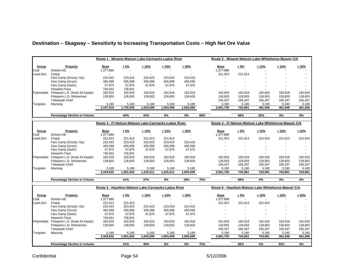|             |                                | Route 1 - Minaret-Watson Lake-Carmacks-Ladue River |           |           |           |           |     | Route 2 - Minaret-Watson Lake-Whitehorse-Beaver Crk |         |         |                          |         |
|-------------|--------------------------------|----------------------------------------------------|-----------|-----------|-----------|-----------|-----|-----------------------------------------------------|---------|---------|--------------------------|---------|
| Group       | Property                       | <b>Base</b>                                        | $+5%$     | $+10%$    | $+15%$    | $+20%$    |     | <b>Base</b>                                         | $+5%$   | $+10%$  | $+15%$                   | $+20%$  |
| Coal        | Division Mt.                   | 1,377,889                                          |           |           |           |           |     | 1,377,889                                           |         |         |                          |         |
| Lead-Zinc   | Cirque                         |                                                    |           |           |           |           |     | 221,913                                             | 221,913 |         | $\overline{\phantom{a}}$ |         |
|             | Faro Camp (Grizzly / Dy)       | 223,423                                            | 223,423   | 223,423   | 223,423   | 223,423   |     |                                                     |         |         | $\overline{\phantom{a}}$ |         |
|             | Faro Camp (Grum)               | 405,099                                            | 405,099   | 405,099   | 405,099   | 405,099   |     |                                                     |         | ۰       | $\overline{\phantom{a}}$ |         |
|             | Faro Camp (Swim)               | 57,975                                             | 57,975    | 57,975    | 57,975    | 57,975    |     |                                                     | ۰       | ۰       | $\overline{\phantom{a}}$ |         |
|             | Howard's Pass                  | 726,931                                            | 726,931   |           |           |           |     |                                                     |         |         |                          |         |
| Polymetalic | Finlayson L.D. (Kudz Ze Kayah) | 182,818                                            | 182,818   | 182,818   | 182,818   | 182,818   |     | 182,818                                             | 182,818 | 182,818 | 182,818                  | 182,818 |
|             | Finlayson L.D. (Wolverine)     | 128,603                                            | 128,603   | 128,603   | 128,603   | 128,603   |     | 128,603                                             | 128,603 | 128,603 | 128,603                  | 128,603 |
|             | Tulsequah Chief                |                                                    |           |           |           |           |     | 165,347                                             | 165,347 | 165,347 | 165,347                  | 165,347 |
| Tungsten    | Mactung                        | 5,180                                              | 5,180     | 5,180     | 5,180     | 5,180     |     | 5,180                                               | 5,180   | 5,180   | 5,180                    | 5,180   |
|             |                                | 3,107,919                                          | 1,730,030 | 1,003,099 | 1,003,099 | 1,003,099 |     | 2,081,750                                           | 703,861 | 481,948 | 481,948                  | 481,948 |
|             | Percentage Decline in Volume   |                                                    | 44%       | 42%       | 0%        | 0%        | 68% |                                                     | 66%     | 32%     | 0%                       | 0%      |

#### **Destination – Skagway – Sensitivity to Increasing Transportation Costs – High Net Ore Value**

|             |                                | Route 3 - Ft Nelson-Watson Lake-Carmacks-Ladue River |           |           |           |                          | Route 4 - Ft Nelson-Watson Lake-Whitehorse-Beaver Crk |         |         |         |         |
|-------------|--------------------------------|------------------------------------------------------|-----------|-----------|-----------|--------------------------|-------------------------------------------------------|---------|---------|---------|---------|
| Group       | Property                       | Base                                                 | $+5%$     | $+10%$    | $+15%$    | $+20%$                   | Base                                                  | $+5%$   | $+10%$  | $+15%$  | $+20%$  |
| Coal        | Division Mt.                   | ,377,889                                             | $\sim$    |           |           |                          | 377,889                                               |         |         |         |         |
| Lead-Zinc   | Cirque                         | 221.913                                              | 221.913   | 221.913   | 221.913   | $\overline{\phantom{a}}$ | 221.913                                               | 221,913 | 221.913 | 221.913 | 221,913 |
|             | Faro Camp (Grizzly / Dy)       | 223,423                                              | 223.423   | 223.423   | 223.423   | 223.423                  |                                                       |         |         |         |         |
|             | Faro Camp (Grum)               | 405,099                                              | 405.099   | 405,099   | 405.099   | 405.099                  |                                                       |         |         |         |         |
|             | Faro Camp (Swim)               | 57,975                                               | 57.975    | 57,975    | 57.975    | 57,975                   |                                                       |         |         |         |         |
|             | Howard's Pass                  | 726.931                                              | 726.931   |           |           | $\overline{\phantom{a}}$ |                                                       |         |         |         |         |
| Polymetalic | Finlayson L.D. (Kudz Ze Kayah) | 182.818                                              | 182.818   | 182.818   | 182.818   | 182.818                  | 182.818                                               | 182.818 | 182.818 | 182.818 | 182,818 |
|             | Finlayson L.D. (Wolverine)     | 128.603                                              | 128.603   | 128.603   | 128.603   | 128.603                  | 128.603                                               | 128.603 | 128.603 | 128.603 | 128,603 |
|             | Tulsequah Chief                |                                                      |           |           |           |                          | 165.347                                               | 165.347 | 165.347 | 165.347 | 165,347 |
| Tungsten    | Mactung                        | 5.180                                                | 5,180     | 5.180     | 5,180     | 5,180                    | 5.180                                                 | 5,180   | 5.180   | 5,180   | 5,180   |
|             |                                | 3,329,832                                            | 1,951,943 | 1,225,011 | 1.225.011 | 1,003,099                | 2,081,750                                             | 703,861 | 703.861 | 703.861 | 703,861 |
|             |                                |                                                      |           |           |           |                          |                                                       |         |         |         |         |

**Percentage Decline in Volume 41% 37% 0% 18% 70% 66% 0% 0% 0%**

|             |                                | Route 5 - Hazelton-Watson Lake-Carmacks-Ladue River |           |           |           |                          |     | Route 6 - Hazelton-Watson Lake-Whitehorse-Beaver Crk |         |                          |         |         |
|-------------|--------------------------------|-----------------------------------------------------|-----------|-----------|-----------|--------------------------|-----|------------------------------------------------------|---------|--------------------------|---------|---------|
| Group       | Property                       | <u>Base</u>                                         | $+5%$     | $+10%$    | $+15%$    | $+20%$                   |     | <b>Base</b>                                          | $+5%$   | $+10%$                   | $+15%$  | $+20%$  |
| Coal        | Division Mt.                   | .377.889                                            |           |           |           | $\overline{\phantom{a}}$ |     | 1,377,889                                            |         |                          |         |         |
| Lead-Zinc   | Ciraue                         | 221.913                                             | 221.913   |           |           | $\overline{\phantom{a}}$ |     | 221.913                                              | 221.913 | 221,913                  |         |         |
|             | Faro Camp (Grizzly / Dy)       | 223,423                                             | 223.423   | 223.423   | 223.423   | 223,423                  |     |                                                      |         |                          |         |         |
|             | Faro Camp (Grum)               | 405,099                                             | 405,099   | 405.099   | 405.099   | 405,099                  |     |                                                      |         | -                        |         |         |
|             | Faro Camp (Swim)               | 57.975                                              | 57.975    | 57,975    | 57.975    | 57,975                   |     |                                                      |         | $\overline{\phantom{a}}$ |         |         |
|             | Howard's Pass                  | 726,931                                             | 726,931   |           |           |                          |     |                                                      |         |                          |         |         |
| Polymetalic | Finlayson L.D. (Kudz Ze Kayah) | 182,818                                             | 182.818   | 182.818   | 182.818   | 182,818                  |     | 182.818                                              | 182,818 | 182,818                  | 182,818 | 182,818 |
|             | Finlayson L.D. (Wolverine)     | 128.603                                             | 128,603   | 128,603   | 128.603   | 128,603                  |     | 128,603                                              | 128.603 | 128.603                  | 128,603 | 128,603 |
|             | <b>Tulsequah Chief</b>         |                                                     |           |           |           |                          |     | 165,347                                              | 165,347 | 165,347                  | 165,347 | 165,347 |
| Tungsten    | Mactung                        | 5,180                                               | 5,180     | 5,180     | 5,180     | 5,180                    |     | 5,180                                                | 5,180   | 5,180                    | 5,180   | 5,180   |
|             |                                | 3,329,832                                           | 1,951,943 | 1,003,099 | 1.003.099 | 1,003,099                |     | 2,081,750                                            | 703.861 | 703,861                  | 481,948 | 481,948 |
|             | Percentage Decline in Volume   |                                                     | 41%       | 49%       | 0%        | 0%                       | 70% |                                                      | 66%     | 0%                       | 32%     | 0%      |

Confidential **Confidential** Page 54 5/12/2006